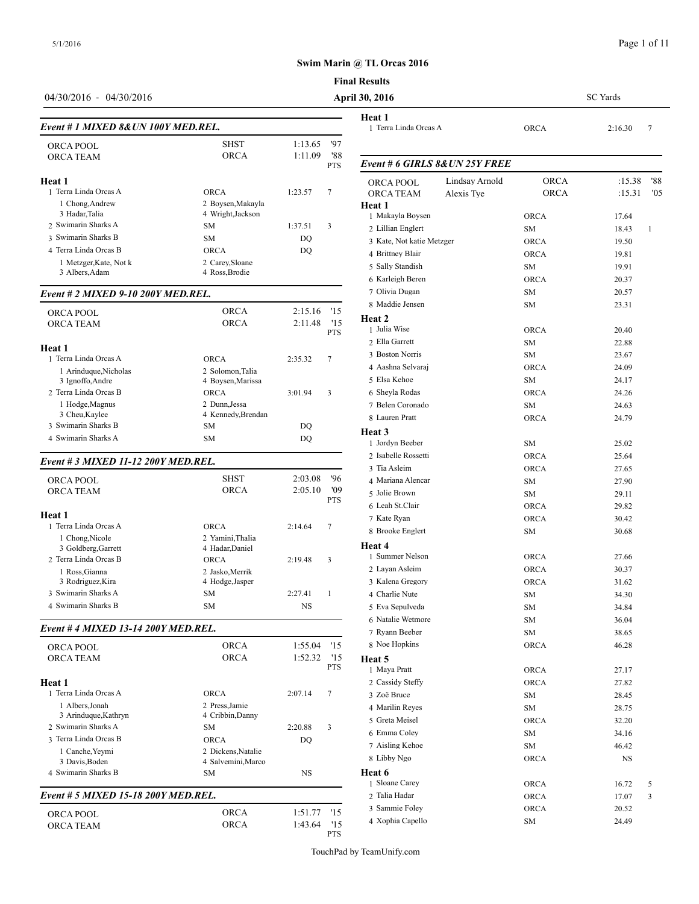#### **Final**

#### 04/30/2016 - 04/30/2016 **April 30, 2016**

|                                          | Event # 1 MIXED 8& UN 100Y MED.REL.    |         |                   | пеат п<br>1 Terra Linda Orc |
|------------------------------------------|----------------------------------------|---------|-------------------|-----------------------------|
| <b>ORCA POOL</b>                         | <b>SHST</b>                            | 1:13.65 | '97               |                             |
| <b>ORCA TEAM</b>                         | <b>ORCA</b>                            | 1:11.09 | '88<br><b>PTS</b> | Event # 6 GIRL              |
| Heat 1                                   |                                        |         |                   | ORCA POOL                   |
| 1 Terra Linda Orcas A                    | <b>ORCA</b>                            | 1:23.57 | 7                 | <b>ORCA TEAM</b>            |
| 1 Chong, Andrew<br>3 Hadar, Talia        | 2 Boysen, Makayla<br>4 Wright, Jackson |         |                   | Heat 1<br>1 Makavla Bovser  |
| 2. Swimarin Sharks A                     | <b>SM</b>                              | 1:37.51 | 3                 | 2 Lillian Englert           |
| 3 Swimarin Sharks B                      | <b>SM</b>                              | DQ      |                   | 3 Kate, Not katie l         |
| 4 Terra Linda Orcas B                    | <b>ORCA</b>                            | DO.     |                   | 4 Brittney Blair            |
| 1 Metzger, Kate, Not k<br>3 Albers, Adam | 2 Carey, Sloane<br>4 Ross, Brodie      |         |                   | 5 Sally Standish            |

#### *Event # 2 MIXED 9-10 200Y MED.REL.*

|                                      |                     |                          |                 | 8 Maddie Jensen        |
|--------------------------------------|---------------------|--------------------------|-----------------|------------------------|
| <b>ORCA POOL</b><br><b>ORCA TEAM</b> | ORCA<br><b>ORCA</b> | $2:15.16$ '15<br>2:11.48 | '15             | Heat 2<br>1 Julia Wise |
| Heat 1                               |                     |                          | <b>PTS</b>      | 2 Ella Garrett         |
| 1 Terra Linda Orcas A                | <b>ORCA</b>         | 2:35.32                  | $7\phantom{.0}$ | 3 Boston Norris        |
| 1 Arinduque, Nicholas                | 2 Solomon, Talia    |                          |                 | 4 Aashna Selvaraj      |
| 3 Ignoffo, Andre                     | 4 Boysen.Marissa    |                          |                 | 5 Elsa Kehoe           |
| 2. Terra Linda Orcas B               | <b>ORCA</b>         | 3:01.94                  | 3               | 6 Shevla Rodas         |
| 1 Hodge, Magnus                      | 2 Dunn. Jessa       |                          |                 | 7 Belen Coronado       |
| 3 Cheu, Kaylee                       | 4 Kennedy, Brendan  |                          |                 | 8 Lauren Pratt         |
| 3 Swimarin Sharks B                  | <b>SM</b>           | DQ                       |                 | Heat 3                 |
| 4 Swimarin Sharks A                  | <b>SM</b>           | DO                       |                 | 1 Lordyn Doobor        |

#### *Event # 3 MIXED 11-12 200Y MED.REL.*

|                                        |                                          |             |                   | 3 Tia Asleim      | <b>ORCA</b> | 27.65      |
|----------------------------------------|------------------------------------------|-------------|-------------------|-------------------|-------------|------------|
| <b>ORCA POOL</b>                       | <b>SHST</b>                              | 2:03.08     | 96'               | 4 Mariana Alencar | <b>SM</b>   | 27.90      |
| <b>ORCA TEAM</b>                       | <b>ORCA</b>                              | 2:05.10     | '09               | 5 Jolie Brown     | <b>SM</b>   | 29.11      |
|                                        |                                          |             | <b>PTS</b>        | 6 Leah St.Clair   | <b>ORCA</b> | 29.82      |
| Heat 1                                 |                                          |             |                   | 7 Kate Ryan       | <b>ORCA</b> | 30.42      |
| 1 Terra Linda Orcas A                  | <b>ORCA</b>                              | 2:14.64     | $\tau$            | 8 Brooke Englert  | <b>SM</b>   | 30.68      |
| 1 Chong, Nicole<br>3 Goldberg, Garrett | 2 Yamini.Thalia<br>4 Hadar, Daniel       |             |                   | Heat 4            |             |            |
| 2 Terra Linda Orcas B                  | <b>ORCA</b>                              | 2:19.48     | 3                 | 1 Summer Nelson   | <b>ORCA</b> | 27.66      |
| 1 Ross, Gianna                         | 2 Jasko, Merrik                          |             |                   | 2 Lavan Asleim    | <b>ORCA</b> | 30.37      |
| 3 Rodriguez, Kira                      | 4 Hodge, Jasper                          |             |                   | 3 Kalena Gregory  | ORCA        | 31.62      |
| 3 Swimarin Sharks A                    | <b>SM</b>                                | 2:27.41     |                   | 4 Charlie Nute    | <b>SM</b>   | 34.30      |
| 4 Swimarin Sharks B                    | <b>SM</b>                                | <b>NS</b>   |                   | 5 Eva Sepulveda   | SM          | 34.84      |
|                                        |                                          |             |                   | 6 Natalie Wetmore | <b>SM</b>   | 36.04      |
| Event #4 MIXED 13-14 200Y MED.REL.     |                                          |             |                   | 7 Rvann Beeber    | <b>SM</b>   | 38.65      |
| <b>ORCA POOL</b>                       | <b>ORCA</b>                              | 1:55.04     | '15               | 8 Noe Hopkins     | <b>ORCA</b> | 46.28      |
| <b>ORCA TEAM</b>                       | <b>ORCA</b>                              | 1:52.32     | '15               | Heat 5            |             |            |
|                                        |                                          |             | <b>PTS</b>        | 1 Maya Pratt      | <b>ORCA</b> | 27.17      |
| Heat 1                                 |                                          |             |                   | 2 Cassidy Steffy  | <b>ORCA</b> | 27.82      |
| 1 Terra Linda Orcas A                  | <b>ORCA</b>                              | 2:07.14     | 7                 | 3 Zoë Bruce       | <b>SM</b>   | 28.45      |
| 1 Albers.Jonah                         | 2 Press.Jamie                            |             |                   | 4 Marilin Reves   | <b>SM</b>   | 28.75      |
| 3 Arinduque, Kathryn                   | 4 Cribbin, Danny                         |             |                   | 5 Greta Meisel    | <b>ORCA</b> | 32.20      |
| 2 Swimarin Sharks A                    | <b>SM</b>                                | 2:20.88     | 3                 | 6 Emma Coley      | <b>SM</b>   | 34.16      |
| 3 Terra Linda Orcas B                  | <b>ORCA</b>                              | DQ          |                   | 7 Aisling Kehoe   | <b>SM</b>   | 46.42      |
| 1 Canche, Yevmi<br>3 Davis, Boden      | 2 Dickens, Natalie<br>4 Salvemini, Marco |             |                   | 8 Libby Ngo       | ORCA        | <b>NS</b>  |
| 4 Swimarin Sharks B                    | <b>SM</b>                                | $_{\rm NS}$ |                   | Heat 6            |             |            |
|                                        |                                          |             |                   | 1 Sloane Carey    | <b>ORCA</b> | 16.72<br>5 |
| Event # 5 MIXED 15-18 200Y MED.REL.    |                                          |             |                   | 2 Talia Hadar     | <b>ORCA</b> | 17.07<br>3 |
| <b>ORCA POOL</b>                       | <b>ORCA</b>                              | 1:51.77     | '15               | 3 Sammie Foley    | <b>ORCA</b> | 20.52      |
| <b>ORCA TEAM</b>                       | <b>ORCA</b>                              | 1:43.64     | '15<br><b>PTS</b> | 4 Xophia Capello  | <b>SM</b>   | 24.49      |

| April 30, 2016                     |                | <b>SC</b> Yards |                |              |  |  |
|------------------------------------|----------------|-----------------|----------------|--------------|--|--|
| Heat 1<br>1 Terra Linda Orcas A    |                | <b>ORCA</b>     | 2:16.30        | 7            |  |  |
| Event # 6 GIRLS 8& UN 25Y FREE     |                |                 |                |              |  |  |
| ORCA POOL                          | Lindsay Arnold | ORCA            | :15.38         | '88          |  |  |
| ORCA TEAM                          | Alexis Tye     | ORCA            | :15.31         | '05          |  |  |
| Heat 1                             |                |                 |                |              |  |  |
| 1 Makayla Boysen                   |                | <b>ORCA</b>     | 17.64          |              |  |  |
| 2 Lillian Englert                  |                | <b>SM</b>       | 18.43          | $\mathbf{1}$ |  |  |
| 3 Kate, Not katie Metzger          |                | <b>ORCA</b>     | 19.50          |              |  |  |
| 4 Brittney Blair                   |                | <b>ORCA</b>     | 19.81          |              |  |  |
| 5 Sally Standish                   |                | <b>SM</b>       | 19.91          |              |  |  |
| 6 Karleigh Beren<br>7 Olivia Dugan |                | <b>ORCA</b>     | 20.37          |              |  |  |
| 8 Maddie Jensen                    |                | SΜ              | 20.57          |              |  |  |
|                                    |                | <b>SM</b>       | 23.31          |              |  |  |
| Heat 2<br>1 Julia Wise             |                | <b>ORCA</b>     | 20.40          |              |  |  |
| 2 Ella Garrett                     |                | <b>SM</b>       | 22.88          |              |  |  |
| 3 Boston Norris                    |                | SМ              | 23.67          |              |  |  |
| 4 Aashna Selvaraj                  |                | <b>ORCA</b>     | 24.09          |              |  |  |
| 5 Elsa Kehoe                       |                | <b>SM</b>       | 24.17          |              |  |  |
| 6 Sheyla Rodas                     |                | ORCA            | 24.26          |              |  |  |
| 7 Belen Coronado                   |                | <b>SM</b>       | 24.63          |              |  |  |
| 8 Lauren Pratt                     |                | <b>ORCA</b>     | 24.79          |              |  |  |
| Heat 3                             |                |                 |                |              |  |  |
| 1 Jordyn Beeber                    |                | <b>SM</b>       | 25.02          |              |  |  |
| 2 Isabelle Rossetti                |                | <b>ORCA</b>     | 25.64          |              |  |  |
| 3 Tia Asleim                       |                | ORCA            | 27.65          |              |  |  |
| 4 Mariana Alencar                  |                | SМ              | 27.90          |              |  |  |
| 5 Jolie Brown                      |                | <b>SM</b>       | 29.11          |              |  |  |
| 6 Leah St.Clair                    |                | <b>ORCA</b>     | 29.82          |              |  |  |
| 7 Kate Ryan                        |                | <b>ORCA</b>     | 30.42          |              |  |  |
| 8 Brooke Englert                   |                | SΜ              | 30.68          |              |  |  |
| Heat 4                             |                |                 |                |              |  |  |
| 1 Summer Nelson                    |                | <b>ORCA</b>     | 27.66          |              |  |  |
| 2 Lavan Asleim                     |                | ORCA            | 30.37          |              |  |  |
| 3 Kalena Gregory<br>4 Charlie Nute |                | <b>ORCA</b>     | 31.62          |              |  |  |
| 5 Eva Sepulveda                    |                | SМ              | 34.30<br>34.84 |              |  |  |
| 6 Natalie Wetmore                  |                | SΜ              | 36.04          |              |  |  |
| 7 Ryann Beeber                     |                | SM<br>SM        | 38.65          |              |  |  |
| 8 Noe Hopkins                      |                | ORCA            | 46.28          |              |  |  |
| Heat 5                             |                |                 |                |              |  |  |
| 1 Maya Pratt                       |                | <b>ORCA</b>     | 27.17          |              |  |  |
| 2 Cassidy Steffy                   |                | <b>ORCA</b>     | 27.82          |              |  |  |
| 3 Zoë Bruce                        |                | SΜ              | 28.45          |              |  |  |
| 4 Marilin Reyes                    |                | SM              | 28.75          |              |  |  |
| 5 Greta Meisel                     |                | ORCA            | 32.20          |              |  |  |
| 6 Emma Coley                       |                | SΜ              | 34.16          |              |  |  |
| 7 Aisling Kehoe                    |                | SM              | 46.42          |              |  |  |
| 8 Libby Ngo                        |                | ORCA            | NS             |              |  |  |
| Heat 6                             |                |                 |                |              |  |  |
| 1 Sloane Carey                     |                | <b>ORCA</b>     | 16.72          | 5            |  |  |
| 2 Talia Hadar                      |                | <b>ORCA</b>     | 17.07          | 3            |  |  |
| 3 Sammie Foley                     |                | ORCA            | 20.52          |              |  |  |
|                                    |                |                 |                |              |  |  |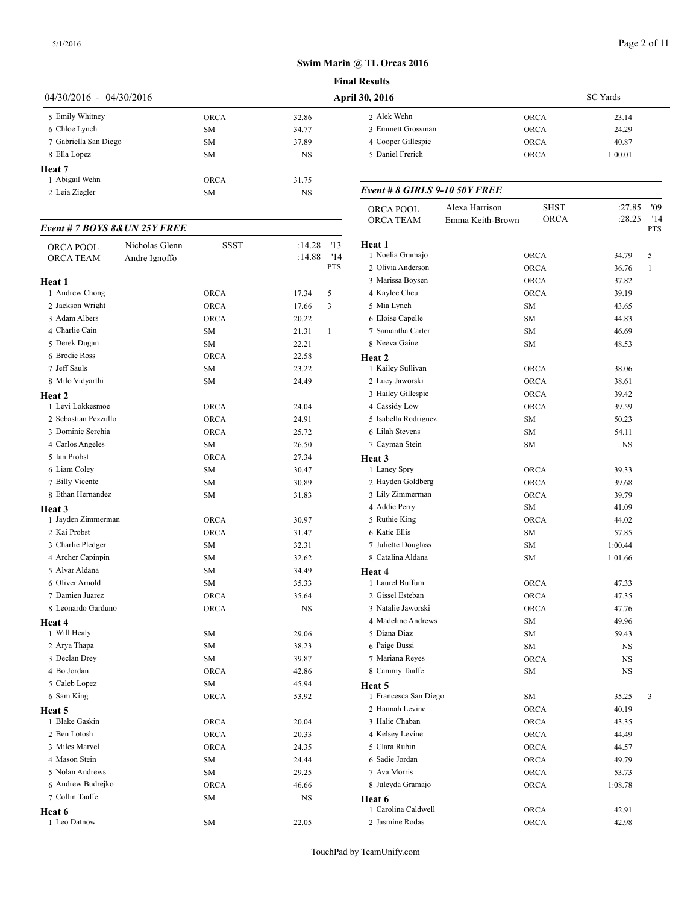5/1/2016

#### **Swim Marin @ TL Orcas 2016**

|                           |             |           | т шаг гусэшлэ                  |
|---------------------------|-------------|-----------|--------------------------------|
| $04/30/2016 - 04/30/2016$ |             |           | <b>April 30, 2016</b>          |
| 5 Emily Whitney           | <b>ORCA</b> | 32.86     | 2 Alek Wehn                    |
| 6 Chloe Lynch             | SM.         | 34.77     | 3 Emmett Grossman              |
| 7 Gabriella San Diego     | SM.         | 37.89     | 4 Cooper Gillespie             |
| 8 Ella Lopez              | SM.         | <b>NS</b> | 5 Daniel Frerich               |
| Heat 7                    |             |           |                                |
| 1 Abigail Wehn            | <b>ORCA</b> | 31.75     |                                |
| 2 Leia Ziegler            | SM.         | <b>NS</b> | Event # 8 GIRLS $9-10$ 50Y FR. |
|                           |             |           |                                |

#### *Event # 7 BOYS 8&UN 25Y FREE*

| ORCA POOL                  | Nicholas Glenn | <b>SSST</b> | '13<br>:14.28               | Heat 1<br>1 Noelia Gramajo  |
|----------------------------|----------------|-------------|-----------------------------|-----------------------------|
| <b>ORCA TEAM</b>           | Andre Ignoffo  |             | '14<br>:14.88<br><b>PTS</b> | 2 Olivia Anderson           |
|                            |                |             |                             | 3 Marissa Boysen            |
| Heat 1<br>1 Andrew Chong   |                | <b>ORCA</b> | 5<br>17.34                  | 4 Kaylee Cheu               |
| 2 Jackson Wright           |                | <b>ORCA</b> | 17.66<br>3                  | 5 Mia Lynch                 |
| 3 Adam Albers              |                | ORCA        | 20.22                       | 6 Eloise Capelle            |
| 4 Charlie Cain             |                | SM          | 21.31<br>1                  | 7 Samantha Carter           |
| 5 Derek Dugan              |                | SM          | 22.21                       | 8 Neeva Gaine               |
| 6 Brodie Ross              |                | <b>ORCA</b> | 22.58                       |                             |
| 7 Jeff Sauls               |                | <b>SM</b>   | 23.22                       | Heat 2<br>1 Kailey Sullivan |
| 8 Milo Vidyarthi           |                | SM          | 24.49                       | 2 Lucy Jaworski             |
|                            |                |             |                             | 3 Hailey Gillespie          |
| Heat 2<br>1 Levi Lokkesmoe |                | <b>ORCA</b> | 24.04                       | 4 Cassidy Low               |
| 2 Sebastian Pezzullo       |                | <b>ORCA</b> | 24.91                       | 5 Isabella Rodrigu          |
| 3 Dominic Serchia          |                | <b>ORCA</b> | 25.72                       | 6 Lilah Stevens             |
| 4 Carlos Angeles           |                | <b>SM</b>   | 26.50                       | 7 Cayman Stein              |
| 5 Ian Probst               |                | <b>ORCA</b> | 27.34                       | Heat 3                      |
| 6 Liam Coley               |                | <b>SM</b>   | 30.47                       | 1 Laney Spry                |
| 7 Billy Vicente            |                | SM          | 30.89                       | 2 Hayden Goldber            |
| 8 Ethan Hernandez          |                | SM          | 31.83                       | 3 Lily Zimmerman            |
| Heat 3                     |                |             |                             | 4 Addie Perry               |
| 1 Jayden Zimmerman         |                | <b>ORCA</b> | 30.97                       | 5 Ruthie King               |
| 2 Kai Probst               |                | <b>ORCA</b> | 31.47                       | 6 Katie Ellis               |
| 3 Charlie Pledger          |                | <b>SM</b>   | 32.31                       | 7 Juliette Douglas          |
| 4 Archer Capinpin          |                | <b>SM</b>   | 32.62                       | 8 Catalina Aldana           |
| 5 Alvar Aldana             |                | <b>SM</b>   | 34.49                       | Heat 4                      |
| 6 Oliver Arnold            |                | SM          | 35.33                       | 1 Laurel Buffum             |
| 7 Damien Juarez            |                | <b>ORCA</b> | 35.64                       | 2 Gissel Esteban            |
| 8 Leonardo Garduno         |                | <b>ORCA</b> | <b>NS</b>                   | 3 Natalie Jaworsk           |
| Heat 4                     |                |             |                             | 4 Madeline Andre            |
| 1 Will Healy               |                | <b>SM</b>   | 29.06                       | 5 Diana Diaz                |
| 2 Arya Thapa               |                | <b>SM</b>   | 38.23                       | 6 Paige Bussi               |
| 3 Declan Drey              |                | <b>SM</b>   | 39.87                       | 7 Mariana Reyes             |
| 4 Bo Jordan                |                | <b>ORCA</b> | 42.86                       | 8 Cammy Taaffe              |
| 5 Caleb Lopez              |                | <b>SM</b>   | 45.94                       | Heat 5                      |
| 6 Sam King                 |                | <b>ORCA</b> | 53.92                       | 1 Francesca San D           |
| Heat 5                     |                |             |                             | 2 Hannah Levine             |
| 1 Blake Gaskin             |                | <b>ORCA</b> | 20.04                       | 3 Halie Chaban              |
| 2 Ben Lotosh               |                | ORCA        | 20.33                       | 4 Kelsey Levine             |
| 3 Miles Marvel             |                | <b>ORCA</b> | 24.35                       | 5 Clara Rubin               |
| 4 Mason Stein              |                | SM          | 24.44                       | 6 Sadie Jordan              |
| 5 Nolan Andrews            |                | <b>SM</b>   | 29.25                       | 7 Ava Morris                |
| 6 Andrew Budrejko          |                | <b>ORCA</b> | 46.66                       | 8 Juleyda Gramajo           |
| 7 Collin Taaffe            |                | <b>SM</b>   | <b>NS</b>                   | Heat 6                      |
| Heat 6                     |                |             |                             | 1 Carolina Caldwe           |
| 1 Leo Datnow               |                | <b>SM</b>   | 22.05                       | 2 Jasmine Rodas             |

| <b>Final Results</b>          |                                    |              |                  |                          |
|-------------------------------|------------------------------------|--------------|------------------|--------------------------|
| <b>April 30, 2016</b>         |                                    |              | <b>SC</b> Yards  |                          |
| 2 Alek Wehn                   |                                    | ORCA         | 23.14            |                          |
| 3 Emmett Grossman             |                                    | ORCA         | 24.29            |                          |
| 4 Cooper Gillespie            |                                    | ORCA         | 40.87            |                          |
| 5 Daniel Frerich              |                                    | ORCA         | 1:00.01          |                          |
| Event # 8 GIRLS 9-10 50Y FREE |                                    |              |                  |                          |
| ORCA POOL<br>ORCA TEAM        | Alexa Harrison<br>Emma Keith-Brown | SHST<br>ORCA | :27.85<br>:28.25 | '09<br>'14<br><b>PTS</b> |
| Heat 1                        |                                    |              |                  |                          |
| 1 Noelia Gramajo              |                                    | <b>ORCA</b>  | 34.79            | 5                        |
| 2 Olivia Anderson             |                                    | <b>ORCA</b>  | 36.76            | 1                        |
| 3 Marissa Boysen              |                                    | <b>ORCA</b>  | 37.82            |                          |
| 4 Kaylee Cheu                 |                                    | <b>ORCA</b>  | 39.19            |                          |
| 5 Mia Lynch                   |                                    | SМ           | 43.65            |                          |
| 6 Eloise Capelle              |                                    | SМ           | 44.83            |                          |
| 7 Samantha Carter             |                                    | <b>SM</b>    | 46.69            |                          |
| 8 Neeva Gaine                 |                                    | SΜ           | 48.53            |                          |
| Heat 2<br>1 Kailey Sullivan   |                                    | <b>ORCA</b>  | 38.06            |                          |
| 2 Lucy Jaworski               |                                    | <b>ORCA</b>  | 38.61            |                          |
| 3 Hailey Gillespie            |                                    | <b>ORCA</b>  | 39.42            |                          |
| 4 Cassidy Low                 |                                    | <b>ORCA</b>  | 39.59            |                          |
| 5 Isabella Rodriguez          |                                    | SΜ           | 50.23            |                          |
| 6 Lilah Stevens               |                                    | SМ           | 54.11            |                          |
| 7 Cayman Stein                |                                    | SМ           | NS               |                          |
| Heat 3                        |                                    |              |                  |                          |
| 1 Laney Spry                  |                                    | <b>ORCA</b>  | 39.33            |                          |
| 2 Hayden Goldberg             |                                    | <b>ORCA</b>  | 39.68            |                          |
| 3 Lily Zimmerman              |                                    | <b>ORCA</b>  | 39.79            |                          |
| 4 Addie Perry                 |                                    | SМ           | 41.09            |                          |
| 5 Ruthie King                 |                                    | <b>ORCA</b>  | 44.02            |                          |
| 6 Katie Ellis                 |                                    | <b>SM</b>    | 57.85            |                          |
| 7 Juliette Douglass           |                                    | SМ           | 1:00.44          |                          |
| 8 Catalina Aldana             |                                    | SΜ           | 1:01.66          |                          |
| Heat 4                        |                                    |              |                  |                          |
| 1 Laurel Buffum               |                                    | ORCA         | 47.33            |                          |
| 2 Gissel Esteban              |                                    | <b>ORCA</b>  | 47.35            |                          |
| 3 Natalie Jaworski            |                                    | <b>ORCA</b>  | 47.76            |                          |
| 4 Madeline Andrews            |                                    | SM           | 49.96            |                          |
| 5 Diana Diaz                  |                                    | SМ           | 59.43            |                          |
| 6 Paige Bussi                 |                                    | SM           | NS               |                          |
| 7 Mariana Reyes               |                                    | <b>ORCA</b>  | NS               |                          |
| 8 Cammy Taaffe                |                                    | SМ           | NS               |                          |
| Heat 5                        |                                    |              |                  |                          |
| 1 Francesca San Diego         |                                    | SM           | 35.25            | 3                        |
| 2 Hannah Levine               |                                    | ORCA         | 40.19            |                          |
| 3 Halie Chaban                |                                    | ORCA         | 43.35            |                          |
| 4 Kelsey Levine               |                                    | <b>ORCA</b>  | 44.49            |                          |
| 5 Clara Rubin                 |                                    | ORCA         | 44.57            |                          |
| 6 Sadie Jordan                |                                    | <b>ORCA</b>  | 49.79            |                          |
| 7 Ava Morris                  |                                    | <b>ORCA</b>  | 53.73            |                          |
| 8 Juleyda Gramajo             |                                    | ORCA         | 1:08.78          |                          |
| Heat 6<br>1 Carolina Caldwell |                                    |              |                  |                          |
|                               |                                    | ORCA         | 42.91            |                          |
| 2 Jasmine Rodas               |                                    | ORCA         | 42.98            |                          |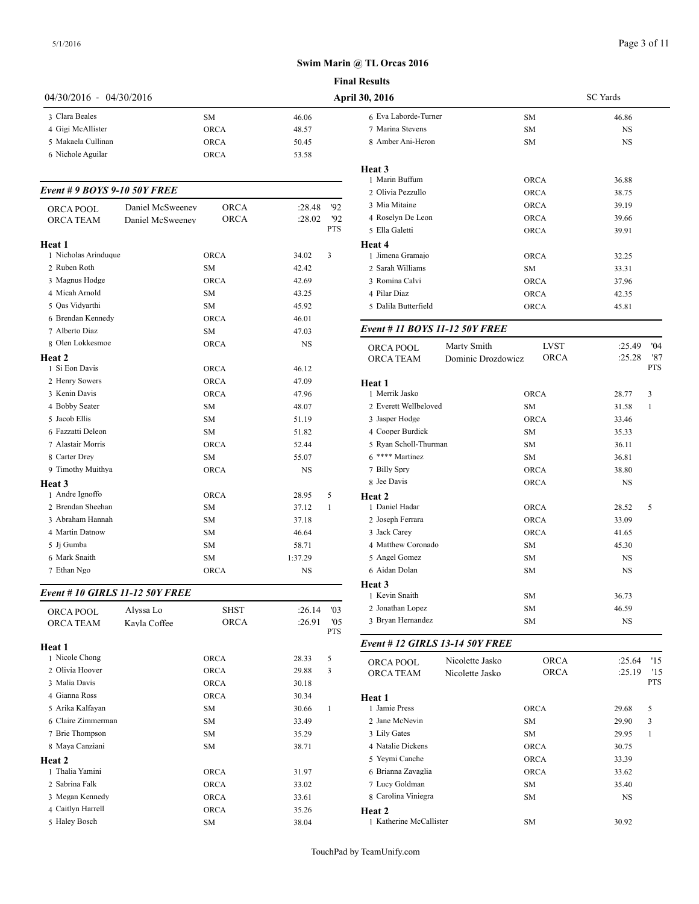# 04/30/2016 - 04/30/2016 **April 30, 2016 Final Results** Clara Beales SM 46.06 Gigi McAllister ORCA 48.57 Makaela Cullinan ORCA 50.45 Nichole Aguilar ORCA 53.58 *Event # 9 BOYS 9-10 50Y FREE*

| ORCA POOL            | Daniel McSweeney | <b>ORCA</b> | :28.48    | 92         | 3 Mia Mitaine       |
|----------------------|------------------|-------------|-----------|------------|---------------------|
| <b>ORCA TEAM</b>     | Daniel McSweeney | ORCA        | :28.02    | '92        | 4 Roselyn De Leo    |
|                      |                  |             |           | <b>PTS</b> | 5 Ella Galetti      |
| Heat 1               |                  |             |           |            | Heat 4              |
| 1 Nicholas Arinduque |                  | <b>ORCA</b> | 34.02     | 3          | 1 Jimena Gramajo    |
| 2 Ruben Roth         |                  | <b>SM</b>   | 42.42     |            | 2 Sarah Williams    |
| 3 Magnus Hodge       |                  | <b>ORCA</b> | 42.69     |            | 3 Romina Calvi      |
| 4 Micah Arnold       |                  | <b>SM</b>   | 43.25     |            | 4 Pilar Diaz        |
| 5 Oas Vidvarthi      |                  | <b>SM</b>   | 45.92     |            | 5 Dalila Butterfiel |
| 6 Brendan Kennedy    |                  | <b>ORCA</b> | 46.01     |            |                     |
| 7 Alberto Diaz       |                  | SM          | 47.03     |            | Event # 11 $BOY$    |
| 8 Olen Lokkesmoe     |                  | <b>ORCA</b> | <b>NS</b> |            | ORCA POOL           |
| Heat 2               |                  |             |           |            | <b>ORCA TEAM</b>    |
| 1 Si Eon Davis       |                  | ORCA        | 46.12     |            |                     |
| 2 Henry Sowers       |                  | ORCA        | 47.09     |            | Heat 1              |
| 3 Kenin Davis        |                  | ORCA        | 47.96     |            | 1 Merrik Jasko      |
| 4 Bobby Seater       |                  | <b>SM</b>   | 48.07     |            | 2 Everett Wellbeld  |
| 5 Jacob Ellis        |                  | <b>SM</b>   | 51.19     |            | 3 Jasper Hodge      |
| 6 Fazzatti Deleon    |                  | <b>SM</b>   | 51.82     |            | 4 Cooper Burdick    |
| 7 Alastair Morris    |                  | ORCA        | 52.44     |            | 5 Ryan Scholl-Thu   |
| 8 Carter Drey        |                  | <b>SM</b>   | 55.07     |            | 6 **** Martinez     |
| 9 Timothy Muithya    |                  | <b>ORCA</b> | <b>NS</b> |            | 7 Billy Spry        |
| Heat 3               |                  |             |           |            | 8 Jee Davis         |
| 1 Andre Ignoffo      |                  | <b>ORCA</b> | 28.95     | 5          | Heat 2              |
| 2 Brendan Sheehan    |                  | <b>SM</b>   | 37.12     | 1          | 1 Daniel Hadar      |
| 3 Abraham Hannah     |                  | <b>SM</b>   | 37.18     |            | 2 Joseph Ferrara    |
| 4 Martin Datnow      |                  | <b>SM</b>   | 46.64     |            | 3 Jack Carey        |
| 5 Jj Gumba           |                  | <b>SM</b>   | 58.71     |            | 4 Matthew Corona    |
| 6 Mark Snaith        |                  | <b>SM</b>   | 1:37.29   |            | 5 Angel Gomez       |
| 7 Ethan Ngo          |                  | <b>ORCA</b> | <b>NS</b> |            | 6 Aidan Dolan       |
|                      |                  |             |           |            |                     |

#### *Event # 10 GIRLS 11-12 50Y FREE*

| <b>ORCA POOL</b><br><b>ORCA TEAM</b> | Alyssa Lo<br>Kavla Coffee | <b>SHST</b><br><b>ORCA</b> | :26.14<br>:26.91 | 2 Jonathan Lopez<br>'03<br>3 Bryan Hernande<br>'05<br><b>PTS</b> |
|--------------------------------------|---------------------------|----------------------------|------------------|------------------------------------------------------------------|
| Heat 1                               |                           |                            |                  | Event # 12 GIRI                                                  |
| 1 Nicole Chong                       |                           | <b>ORCA</b>                | 5<br>28.33       | <b>ORCA POOL</b>                                                 |
| 2 Olivia Hoover                      |                           | <b>ORCA</b>                | 3<br>29.88       | <b>ORCA TEAM</b>                                                 |
| 3 Malia Davis                        |                           | <b>ORCA</b>                | 30.18            |                                                                  |
| 4 Gianna Ross                        |                           | <b>ORCA</b>                | 30.34            | Heat 1                                                           |
| 5 Arika Kalfayan                     |                           | <b>SM</b>                  | 1<br>30.66       | 1 Jamie Press                                                    |
| 6 Claire Zimmerman                   |                           | <b>SM</b>                  | 33.49            | 2 Jane McNevin                                                   |
| 7 Brie Thompson                      |                           | <b>SM</b>                  | 35.29            | 3 Lily Gates                                                     |
| 8 Maya Canziani                      |                           | <b>SM</b>                  | 38.71            | 4 Natalie Dickens                                                |
| Heat 2                               |                           |                            |                  | 5 Yevmi Canche                                                   |
| 1 Thalia Yamini                      |                           | <b>ORCA</b>                | 31.97            | 6 Brianna Zavagli                                                |
| 2 Sabrina Falk                       |                           | <b>ORCA</b>                | 33.02            | 7 Lucy Goldman                                                   |
| 3 Megan Kennedy                      |                           | <b>ORCA</b>                | 33.61            | 8 Carolina Viniegi                                               |
| 4 Caitlyn Harrell                    |                           | <b>ORCA</b>                | 35.26            | Heat 2                                                           |
| 5 Haley Bosch                        |                           | <b>SM</b>                  | 38.04            | 1 Katherine McCa                                                 |

| <b>April 30, 2016</b>           |                                   | <b>SC</b> Yards            |                  |                          |
|---------------------------------|-----------------------------------|----------------------------|------------------|--------------------------|
| 6 Eva Laborde-Turner            |                                   | <b>SM</b>                  | 46.86            |                          |
| 7 Marina Stevens                |                                   | <b>SM</b>                  | NS               |                          |
| 8 Amber Ani-Heron               |                                   | <b>SM</b>                  | NS               |                          |
| Heat 3                          |                                   |                            |                  |                          |
| 1 Marin Buffum                  |                                   | ORCA                       | 36.88            |                          |
| 2 Olivia Pezzullo               |                                   | <b>ORCA</b>                | 38.75            |                          |
| 3 Mia Mitaine                   |                                   | <b>ORCA</b>                | 39.19            |                          |
| 4 Roselyn De Leon               |                                   | <b>ORCA</b>                | 39.66            |                          |
| 5 Ella Galetti                  |                                   | <b>ORCA</b>                | 39.91            |                          |
| Heat 4                          |                                   |                            |                  |                          |
| 1 Jimena Gramajo                |                                   | <b>ORCA</b>                | 32.25            |                          |
| 2 Sarah Williams                |                                   | <b>SM</b>                  | 33.31            |                          |
| 3 Romina Calvi                  |                                   | <b>ORCA</b>                | 37.96            |                          |
| 4 Pilar Diaz                    |                                   | <b>ORCA</b>                | 42.35            |                          |
| 5 Dalila Butterfield            |                                   | ORCA                       | 45.81            |                          |
| Event # 11 BOYS 11-12 50Y FREE  |                                   |                            |                  |                          |
| ORCA POOL<br><b>ORCA TEAM</b>   | Marty Smith<br>Dominic Drozdowicz | <b>LVST</b><br><b>ORCA</b> | :25.49<br>:25.28 | '04<br>'87<br><b>PTS</b> |
| Heat 1                          |                                   |                            |                  |                          |
| 1 Merrik Jasko                  |                                   | <b>ORCA</b>                | 28.77            | 3                        |
| 2 Everett Wellbeloved           |                                   | <b>SM</b>                  | 31.58            | $\mathbf{1}$             |
| 3 Jasper Hodge                  |                                   | <b>ORCA</b>                | 33.46            |                          |
| 4 Cooper Burdick                |                                   | <b>SM</b>                  | 35.33            |                          |
| 5 Ryan Scholl-Thurman           |                                   | SM.                        | 36.11            |                          |
| 6 **** Martinez                 |                                   | <b>SM</b>                  | 36.81            |                          |
| 7 Billy Spry                    |                                   | <b>ORCA</b>                | 38.80            |                          |
| 8 Jee Davis                     |                                   | <b>ORCA</b>                | <b>NS</b>        |                          |
| Heat 2                          |                                   |                            |                  |                          |
| 1 Daniel Hadar                  |                                   | <b>ORCA</b>                | 28.52            | 5                        |
| 2 Joseph Ferrara                |                                   | <b>ORCA</b>                | 33.09            |                          |
| 3 Jack Carey                    |                                   | <b>ORCA</b>                | 41.65            |                          |
| 4 Matthew Coronado              |                                   | SΜ                         | 45.30            |                          |
| 5 Angel Gomez                   |                                   | SМ                         | NS               |                          |
| 6 Aidan Dolan                   |                                   | SΜ                         | NS               |                          |
| Heat 3                          |                                   |                            |                  |                          |
| 1 Kevin Snaith                  |                                   | <b>SM</b>                  | 36.73            |                          |
| 2 Jonathan Lopez                |                                   | SМ                         | 46.59            |                          |
| 3 Bryan Hernandez               |                                   | SΜ                         | NS               |                          |
| Event # 12 GIRLS 13-14 50Y FREE |                                   |                            |                  |                          |
| ORCA POOL                       | Nicolette Jasko                   | <b>ORCA</b>                | :25.64           | '15                      |
| ORCA TEAM                       | Nicolette Jasko                   | ORCA                       | :25.19           | '15<br><b>PTS</b>        |
| Heat 1                          |                                   |                            |                  |                          |
| 1 Jamie Press<br>2 Jane McNevin |                                   | <b>ORCA</b>                | 29.68            | 5                        |
|                                 |                                   | SM                         | 29.90            | 3                        |
| 3 Lily Gates                    |                                   | SM                         | 29.95            | $\mathbf{1}$             |
| 4 Natalie Dickens               |                                   | <b>ORCA</b>                | 30.75            |                          |
| 5 Yevmi Canche                  |                                   | <b>ORCA</b>                | 33.39            |                          |
| 6 Brianna Zavaglia              |                                   | <b>ORCA</b>                | 33.62            |                          |
| 7 Lucy Goldman                  |                                   | SΜ                         | 35.40            |                          |
| 8 Carolina Viniegra             |                                   | SΜ                         | NS               |                          |
| Heat 2                          |                                   |                            |                  |                          |

Katherine McCallister SM 30.92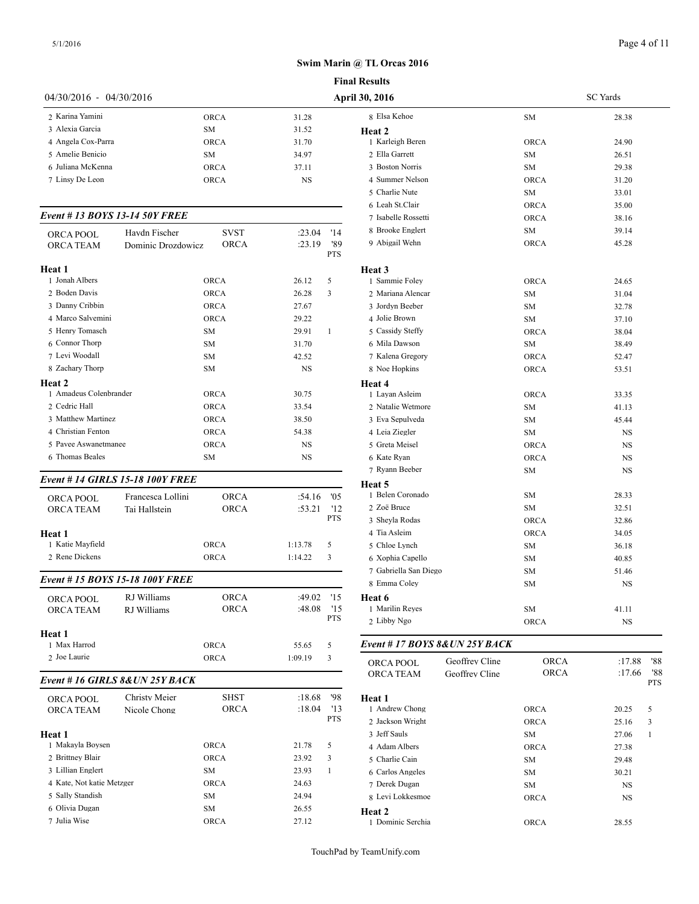5/1/2016

#### **Swim Marin @ TL Orcas 2016**

**Final Results**

|                                    |                                  |                 |                |            | т шаг голяц                           |
|------------------------------------|----------------------------------|-----------------|----------------|------------|---------------------------------------|
| 04/30/2016 - 04/30/2016            |                                  |                 |                |            | April 30, 2016                        |
| 2 Karina Yamini                    |                                  | <b>ORCA</b>     | 31.28          |            | 8 Elsa Kehoe                          |
| 3 Alexia Garcia                    |                                  | <b>SM</b>       | 31.52          |            | Heat 2                                |
| 4 Angela Cox-Parra                 |                                  | <b>ORCA</b>     | 31.70          |            | 1 Karleigh Beren                      |
| 5 Amelie Benicio                   |                                  | <b>SM</b>       | 34.97          |            | 2 Ella Garrett                        |
| 6 Juliana McKenna                  |                                  | ORCA            | 37.11          |            | 3 Boston Norris                       |
| 7 Linsy De Leon                    |                                  | <b>ORCA</b>     | <b>NS</b>      |            | 4 Summer Nelson                       |
|                                    |                                  |                 |                |            | 5 Charlie Nute                        |
|                                    |                                  |                 |                |            | 6 Leah St.Clair                       |
| Event #13 BOYS 13-14 50Y FREE      |                                  |                 |                |            | 7 Isabelle Rossetti                   |
| <b>ORCA POOL</b>                   | Haydn Fischer                    | SVST            | :23.04         | '14        | 8 Brooke Englert                      |
| <b>ORCA TEAM</b>                   | Dominic Drozdowicz               | <b>ORCA</b>     | :23.19         | '89<br>PTS | 9 Abigail Wehn                        |
| Heat 1                             |                                  |                 |                |            | Heat 3                                |
| 1 Jonah Albers                     |                                  | ORCA            | 26.12          | 5          | 1 Sammie Foley                        |
| 2 Boden Davis                      |                                  | <b>ORCA</b>     | 26.28          | 3          | 2 Mariana Alencar                     |
| 3 Danny Cribbin                    |                                  | <b>ORCA</b>     | 27.67          |            | 3 Jordyn Beeber                       |
| 4 Marco Salvemini                  |                                  | <b>ORCA</b>     | 29.22          |            | 4 Jolie Brown                         |
| 5 Henry Tomasch                    |                                  | <b>SM</b>       | 29.91          | 1          | 5 Cassidy Steffy                      |
| 6 Connor Thorp<br>7 Levi Woodall   |                                  | <b>SM</b>       | 31.70<br>42.52 |            | 6 Mila Dawson                         |
| 8 Zachary Thorp                    |                                  | SM<br><b>SM</b> | NS             |            | 7 Kalena Gregory<br>8 Noe Hopkins     |
|                                    |                                  |                 |                |            |                                       |
| Heat 2<br>1 Amadeus Colenbrander   |                                  | ORCA            | 30.75          |            | Heat 4<br>1 Layan Asleim              |
| 2 Cedric Hall                      |                                  | ORCA            | 33.54          |            | 2 Natalie Wetmore                     |
| 3 Matthew Martinez                 |                                  | ORCA            | 38.50          |            | 3 Eva Sepulveda                       |
| 4 Christian Fenton                 |                                  | <b>ORCA</b>     | 54.38          |            | 4 Leia Ziegler                        |
| 5 Pavee Aswanetmanee               |                                  | <b>ORCA</b>     | NS             |            | 5 Greta Meisel                        |
| 6 Thomas Beales                    |                                  | SM              | NS             |            | 6 Kate Ryan                           |
|                                    |                                  |                 |                |            | 7 Ryann Beeber                        |
|                                    | Event # 14 GIRLS 15-18 100Y FREE |                 |                |            | Heat 5                                |
| ORCA POOL                          | Francesca Lollini                | <b>ORCA</b>     | :54.16         | '05        | 1 Belen Coronado                      |
| <b>ORCA TEAM</b>                   | Tai Hallstein                    | <b>ORCA</b>     | :53.21         | '12        | 2 Zoë Bruce                           |
|                                    |                                  |                 |                | <b>PTS</b> | 3 Sheyla Rodas                        |
| Heat 1                             |                                  |                 |                |            | 4 Tia Asleim                          |
| 1 Katie Mayfield<br>2 Rene Dickens |                                  | <b>ORCA</b>     | 1:13.78        | 5          | 5 Chloe Lynch                         |
|                                    |                                  | <b>ORCA</b>     | 1:14.22        | 3          | 6 Xophia Capello<br>7 Gabriella San D |
|                                    | Event #15 BOYS 15-18 100Y FREE   |                 |                |            | 8 Emma Coley                          |
| ORCA POOL                          | RJ Williams                      | ORCA            | :49.02         | '15        | Heat 6                                |
| ORCA TEAM                          | RJ Williams                      | ORCA            | :48.08         | '15        | 1 Marilin Reves                       |
|                                    |                                  |                 |                | PTS        | 2 Libby Ngo                           |
| Heat 1<br>1 Max Harrod             |                                  | ORCA            | 55.65          | 5          | Event # $17 BOY$                      |
| 2 Joe Laurie                       |                                  | <b>ORCA</b>     | 1:09.19        | 3          | ORCA POOL                             |
|                                    | Event # 16 GIRLS 8& UN 25Y BACK  |                 |                |            | <b>ORCA TEAM</b>                      |
| ORCA POOL                          | Christy Meier                    | <b>SHST</b>     | :18.68         | '98        | Heat 1                                |
| ORCA TEAM                          | Nicole Chong                     | <b>ORCA</b>     | :18.04         | '13        | 1 Andrew Chong                        |
| Heat 1                             |                                  |                 |                | PTS        | 2 Jackson Wright<br>3 Jeff Sauls      |
| 1 Makayla Boysen                   |                                  | ORCA            | 21.78          | 5          | 4 Adam Albers                         |
| 2 Brittney Blair                   |                                  | ORCA            | 23.92          | 3          | 5 Charlie Cain                        |
| 3 Lillian Englert                  |                                  | SΜ              | 23.93          | 1          | 6 Carlos Angeles                      |
| 4 Kate, Not katie Metzger          |                                  | ORCA            | 24.63          |            | 7 Derek Dugan                         |
| 5 Sally Standish                   |                                  | SΜ              | 24.94          |            | 8 Levi Lokkesmo                       |
| 6 Olivia Dugan                     |                                  | SΜ              | 26.55          |            | Heat 2                                |
| 7 Julia Wise                       |                                  | <b>ORCA</b>     | 27.12          |            | 1 Dominic Serchia                     |

| April 30, 2016               |                |             | <b>SC</b> Yards       |
|------------------------------|----------------|-------------|-----------------------|
| 8 Elsa Kehoe                 |                | SМ          | 28.38                 |
| Heat 2                       |                |             |                       |
| 1 Karleigh Beren             |                | <b>ORCA</b> | 24.90                 |
| 2 Ella Garrett               |                | SΜ          | 26.51                 |
| 3 Boston Norris              |                | <b>SM</b>   | 29.38                 |
| 4 Summer Nelson              |                | <b>ORCA</b> | 31.20                 |
| 5 Charlie Nute               |                | SM          | 33.01                 |
| 6 Leah St.Clair              |                | <b>ORCA</b> | 35.00                 |
| 7 Isabelle Rossetti          |                | <b>ORCA</b> | 38.16                 |
| 8 Brooke Englert             |                | SΜ          | 39.14                 |
| 9 Abigail Wehn               |                | ORCA        | 45.28                 |
|                              |                |             |                       |
| Heat 3                       |                |             |                       |
| 1 Sammie Foley               |                | <b>ORCA</b> | 24.65                 |
| 2 Mariana Alencar            |                | SΜ          | 31.04                 |
| 3 Jordyn Beeber              |                | <b>SM</b>   | 32.78                 |
| 4 Jolie Brown                |                | <b>SM</b>   | 37.10                 |
| 5 Cassidy Steffy             |                | <b>ORCA</b> | 38.04                 |
| 6 Mila Dawson                |                | <b>SM</b>   | 38.49                 |
| 7 Kalena Gregory             |                | <b>ORCA</b> | 52.47                 |
| 8 Noe Hopkins                |                | <b>ORCA</b> | 53.51                 |
| Heat 4                       |                |             |                       |
| 1 Layan Asleim               |                | ORCA        | 33.35                 |
| 2 Natalie Wetmore            |                | <b>SM</b>   | 41.13                 |
| 3 Eva Sepulveda              |                | SМ          | 45.44                 |
| 4 Leia Ziegler               |                | SΜ          | NS                    |
| 5 Greta Meisel               |                | <b>ORCA</b> | NS                    |
| 6 Kate Ryan                  |                | <b>ORCA</b> | NS                    |
| 7 Ryann Beeber               |                | SΜ          | NS                    |
| Heat 5                       |                |             |                       |
| 1 Belen Coronado             |                | ${\rm SM}$  | 28.33                 |
| 2 Zoë Bruce                  |                | SΜ          | 32.51                 |
| 3 Sheyla Rodas               |                | <b>ORCA</b> | 32.86                 |
| 4 Tia Asleim                 |                | <b>ORCA</b> | 34.05                 |
| 5 Chloe Lynch                |                | SΜ          | 36.18                 |
| 6 Xophia Capello             |                | SΜ          | 40.85                 |
| 7 Gabriella San Diego        |                | SΜ          | 51.46                 |
| 8 Emma Coley                 |                | SΜ          | NS                    |
| Heat 6                       |                |             |                       |
| 1 Marilin Reyes              |                | SM          | 41.11                 |
| 2 Libby Ngo                  |                | <b>ORCA</b> | NS                    |
| Event #17 BOYS 8&UN 25Y BACK |                |             |                       |
|                              |                |             |                       |
| ORCA POOL                    | Geoffrey Cline | ORCA        | :17.88<br>'88         |
| ORCA TEAM                    | Geoffrey Cline | <b>ORCA</b> | :17.66<br>'88<br>PTS  |
| Heat 1                       |                |             |                       |
| 1 Andrew Chong               |                | <b>ORCA</b> | 20.25<br>5            |
| 2 Jackson Wright             |                | <b>ORCA</b> | 25.16<br>3            |
| 3 Jeff Sauls                 |                | SM          | 27.06<br>$\mathbf{1}$ |
| 4 Adam Albers                |                | <b>ORCA</b> | 27.38                 |
| 5 Charlie Cain               |                | SΜ          | 29.48                 |
| 6 Carlos Angeles             |                | SΜ          | 30.21                 |
| 7 Derek Dugan                |                | <b>SM</b>   | NS                    |
| 8 Levi Lokkesmoe             |                | <b>ORCA</b> | <b>NS</b>             |
|                              |                |             |                       |
| Heat 2<br>1 Dominic Serchia  |                | <b>ORCA</b> | 28.55                 |
|                              |                |             |                       |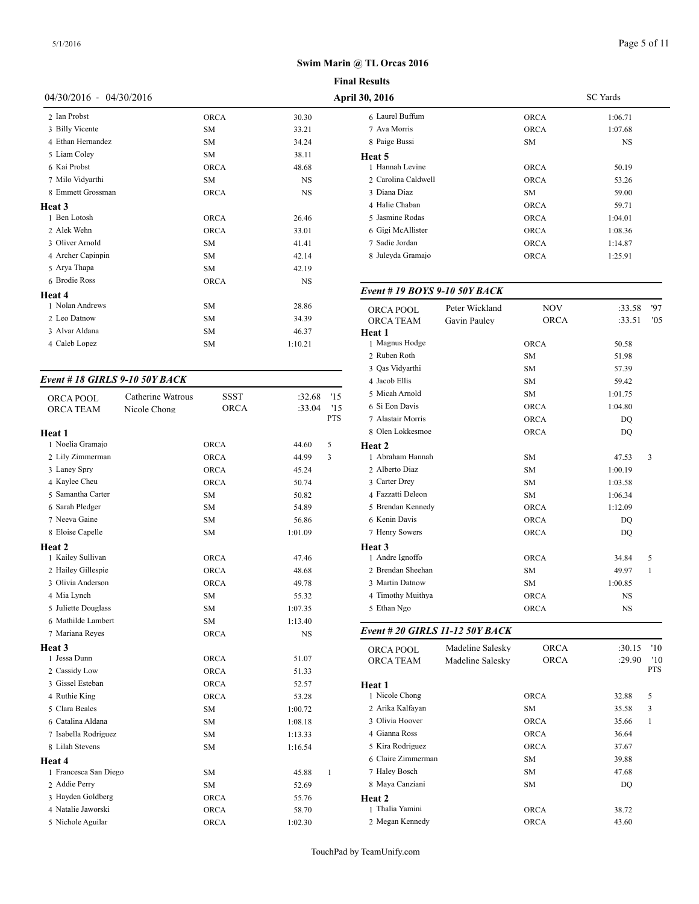#### **Final Results**

|                                |                   |             | <b>Final Results</b> |                              |             |  |  |
|--------------------------------|-------------------|-------------|----------------------|------------------------------|-------------|--|--|
| 04/30/2016 - 04/30/2016        |                   |             |                      | <b>April 30, 2016</b>        |             |  |  |
| 2 Ian Probst                   |                   | <b>ORCA</b> | 30.30                | 6 Laurel Buffum              |             |  |  |
| 3 Billy Vicente                |                   | <b>SM</b>   | 33.21                | 7 Ava Morris                 |             |  |  |
| 4 Ethan Hernandez              |                   | SM          | 34.24                | 8 Paige Bussi                |             |  |  |
| 5 Liam Coley                   |                   | <b>SM</b>   | 38.11                | Heat 5                       |             |  |  |
| 6 Kai Probst                   |                   | ORCA        | 48.68                | 1 Hannah Levine              |             |  |  |
| 7 Milo Vidyarthi               |                   | SM          | NS                   | 2 Carolina Caldwell          |             |  |  |
| 8 Emmett Grossman              |                   | ORCA        | NS                   | 3 Diana Diaz                 |             |  |  |
| Heat 3                         |                   |             |                      | 4 Halie Chaban               |             |  |  |
| 1 Ben Lotosh                   |                   | <b>ORCA</b> | 26.46                | 5 Jasmine Rodas              |             |  |  |
| 2 Alek Wehn                    |                   | ORCA        | 33.01                | 6 Gigi McAllister            |             |  |  |
| 3 Oliver Arnold                |                   | SM          | 41.41                | 7 Sadie Jordan               |             |  |  |
| 4 Archer Capinpin              |                   | SM          | 42.14                | 8 Juleyda Gramajo            |             |  |  |
| 5 Arya Thapa                   |                   | SM          | 42.19                |                              |             |  |  |
| 6 Brodie Ross                  |                   | <b>ORCA</b> | NS                   |                              |             |  |  |
| Heat 4                         |                   |             |                      | Event # 19 BOYS 9-10 50Y BA  |             |  |  |
| 1 Nolan Andrews                |                   | SM          | 28.86                | ORCA POOL                    | Peter Wickl |  |  |
| 2 Leo Datnow                   |                   | SM          | 34.39                | <b>ORCA TEAM</b>             | Gavin Paule |  |  |
| 3 Alvar Aldana                 |                   | SM          | 46.37                | <b>Heat 1</b>                |             |  |  |
| 4 Caleb Lopez                  |                   | SM          | 1:10.21              | 1 Magnus Hodge               |             |  |  |
|                                |                   |             |                      | 2 Ruben Roth                 |             |  |  |
|                                |                   |             |                      | 3 Qas Vidyarthi              |             |  |  |
| Event # 18 GIRLS 9-10 50Y BACK |                   |             |                      | 4 Jacob Ellis                |             |  |  |
|                                | Catherine Watrous | <b>SSST</b> | '15<br>:32.68        | 5 Micah Arnold               |             |  |  |
| ORCA POOL<br><b>ORCA TEAM</b>  | Nicole Chong      | <b>ORCA</b> | '15<br>:33.04        | 6 Si Eon Davis               |             |  |  |
|                                |                   |             | <b>PTS</b>           | 7 Alastair Morris            |             |  |  |
| Heat 1                         |                   |             |                      | 8 Olen Lokkesmoe             |             |  |  |
| 1 Noelia Gramajo               |                   | ORCA        | 44.60<br>5           | Heat 2                       |             |  |  |
| 2 Lily Zimmerman               |                   | ORCA        | 3<br>44.99           | 1 Abraham Hannah             |             |  |  |
| 3 Laney Spry                   |                   | ORCA        | 45.24                | 2 Alberto Diaz               |             |  |  |
| 4 Kaylee Cheu                  |                   | ORCA        | 50.74                | 3 Carter Drey                |             |  |  |
| 5 Samantha Carter              |                   | SM          | 50.82                | 4 Fazzatti Deleon            |             |  |  |
| 6 Sarah Pledger                |                   | SM          | 54.89                | 5 Brendan Kennedy            |             |  |  |
| 7 Neeva Gaine                  |                   | SM          | 56.86                | 6 Kenin Davis                |             |  |  |
| 8 Eloise Capelle               |                   | SM          | 1:01.09              | 7 Henry Sowers               |             |  |  |
| Heat 2                         |                   |             |                      | Heat 3                       |             |  |  |
| 1 Kailey Sullivan              |                   | ORCA        | 47.46                | 1 Andre Ignoffo              |             |  |  |
| 2 Hailey Gillespie             |                   | ORCA        | 48.68                | 2 Brendan Sheehan            |             |  |  |
| 3 Olivia Anderson              |                   | ORCA        | 49.78                | 3 Martin Datnow              |             |  |  |
| 4 Mia Lynch                    |                   | SΜ          | 55.32                | 4 Timothy Muithya            |             |  |  |
| 5 Juliette Douglass            |                   | SM          | 1:07.35              | 5 Ethan Ngo                  |             |  |  |
| 6 Mathilde Lambert             |                   | SM          | 1:13.40              |                              |             |  |  |
| 7 Mariana Reyes                |                   | ORCA        | NS                   | Event # 20 GIRLS 11-12 50Y B |             |  |  |
| Heat 3                         |                   |             |                      |                              | Madeline Sa |  |  |
| 1 Jessa Dunn                   |                   | ORCA        | 51.07                | ORCA POOL                    |             |  |  |
| 2 Cassidy Low                  |                   | ORCA        | 51.33                | ORCA TEAM                    | Madeline Sa |  |  |
| 3 Gissel Esteban               |                   | ORCA        | 52.57                | Heat 1                       |             |  |  |
| 4 Ruthie King                  |                   | ORCA        | 53.28                | 1 Nicole Chong               |             |  |  |
| 5 Clara Beales                 |                   | SΜ          | 1:00.72              | 2 Arika Kalfayan             |             |  |  |
| 6 Catalina Aldana              |                   | SΜ          | 1:08.18              | 3 Olivia Hoover              |             |  |  |
| 7 Isabella Rodriguez           |                   | SM          | 1:13.33              | 4 Gianna Ross                |             |  |  |
|                                |                   |             |                      |                              |             |  |  |

8 Lilah Stevens SM 1:16.54

1 Francesca San Diego SM 5.88 1 Addie Perry SM 52.69 Hayden Goldberg ORCA 55.76 Natalie Jaworski ORCA 58.70 Nichole Aguilar ORCA 1:02.30

**Heat 4**

| 30, 2016                        |                                      |              | <b>SC</b> Yards  |                          |
|---------------------------------|--------------------------------------|--------------|------------------|--------------------------|
| 6 Laurel Buffum                 |                                      | ORCA         | 1:06.71          |                          |
| 7 Ava Morris                    |                                      | <b>ORCA</b>  | 1:07.68          |                          |
| 8 Paige Bussi                   |                                      | SМ           | NS               |                          |
| Heat 5                          |                                      |              |                  |                          |
| 1 Hannah Levine                 |                                      | ORCA         | 50.19            |                          |
| 2 Carolina Caldwell             |                                      | ORCA         | 53.26            |                          |
| 3 Diana Diaz                    |                                      | SМ           | 59.00            |                          |
| 4 Halie Chaban                  |                                      | ORCA         | 59.71            |                          |
| 5 Jasmine Rodas                 |                                      | ORCA         | 1:04.01          |                          |
| 6 Gigi McAllister               |                                      | <b>ORCA</b>  | 1:08.36          |                          |
| 7 Sadie Jordan                  |                                      | <b>ORCA</b>  | 1:14.87          |                          |
| 8 Juleyda Gramajo               |                                      | ORCA         | 1:25.91          |                          |
|                                 |                                      |              |                  |                          |
| Event # 19 BOYS 9-10 50Y BACK   |                                      |              |                  |                          |
| ORCA POOL                       | Peter Wickland                       | NOV          | :33.58           | '97                      |
| ORCA TEAM                       | Gavin Pauley                         | ORCA         | :33.51           | '05                      |
| Heat 1                          |                                      |              |                  |                          |
| 1 Magnus Hodge                  |                                      | ORCA         | 50.58            |                          |
| 2 Ruben Roth                    |                                      | SМ           | 51.98            |                          |
| 3 Qas Vidyarthi                 |                                      | SM           | 57.39            |                          |
| 4 Jacob Ellis                   |                                      | SМ           | 59.42            |                          |
| 5 Micah Arnold                  |                                      | SМ           | 1:01.75          |                          |
| 6 Si Eon Davis                  |                                      | ORCA         | 1:04.80          |                          |
| 7 Alastair Morris               |                                      | ORCA         | DQ               |                          |
| 8 Olen Lokkesmoe                |                                      | ORCA         | DQ               |                          |
| <b>Heat 2</b>                   |                                      |              |                  |                          |
| 1 Abraham Hannah                |                                      | SМ           | 47.53            | 3                        |
| 2 Alberto Diaz                  |                                      | SМ           | 1:00.19          |                          |
| 3 Carter Drey                   |                                      | SМ           | 1:03.58          |                          |
| 4 Fazzatti Deleon               |                                      | SМ           | 1:06.34          |                          |
| 5 Brendan Kennedy               |                                      | ORCA         | 1:12.09          |                          |
| 6 Kenin Davis                   |                                      | ORCA         | DQ               |                          |
| 7 Henry Sowers                  |                                      | ORCA         | DQ               |                          |
| Heat 3                          |                                      |              |                  |                          |
| 1 Andre Ignoffo                 |                                      | <b>ORCA</b>  | 34.84            | 5                        |
| 2 Brendan Sheehan               |                                      | SМ           | 49.97            | 1                        |
| 3 Martin Datnow                 |                                      | SМ           | 1:00.85          |                          |
| 4 Timothy Muithya               |                                      |              | NS               |                          |
| 5 Ethan Ngo                     |                                      | ORCA<br>ORCA | NS               |                          |
|                                 |                                      |              |                  |                          |
| Event # 20 GIRLS 11-12 50Y BACK |                                      |              |                  |                          |
| ORCA POOL<br><b>ORCA TEAM</b>   | Madeline Salesky<br>Madeline Salesky | ORCA<br>ORCA | :30.15<br>:29.90 | '10<br>'10<br><b>PTS</b> |
| Heat 1                          |                                      |              |                  |                          |
| 1 Nicole Chong                  |                                      | <b>ORCA</b>  | 32.88            | 5                        |
| 2 Arika Kalfayan                |                                      | SМ           | 35.58            | 3                        |
| 3 Olivia Hoover                 |                                      | ORCA         | 35.66            | 1                        |
| 4 Gianna Ross                   |                                      | ORCA         | 36.64            |                          |
| 5 Kira Rodriguez                |                                      | ORCA         | 37.67            |                          |
| 6 Claire Zimmerman              |                                      | SМ           | 39.88            |                          |
| 7 Haley Bosch                   |                                      | SΜ           | 47.68            |                          |
| 8 Maya Canziani                 |                                      | SМ           | DQ               |                          |
| Heat 2                          |                                      |              |                  |                          |
| 1 Thalia Yamini                 |                                      | ORCA         | 38.72            |                          |
| 2 Megan Kennedy                 |                                      | ORCA         | 43.60            |                          |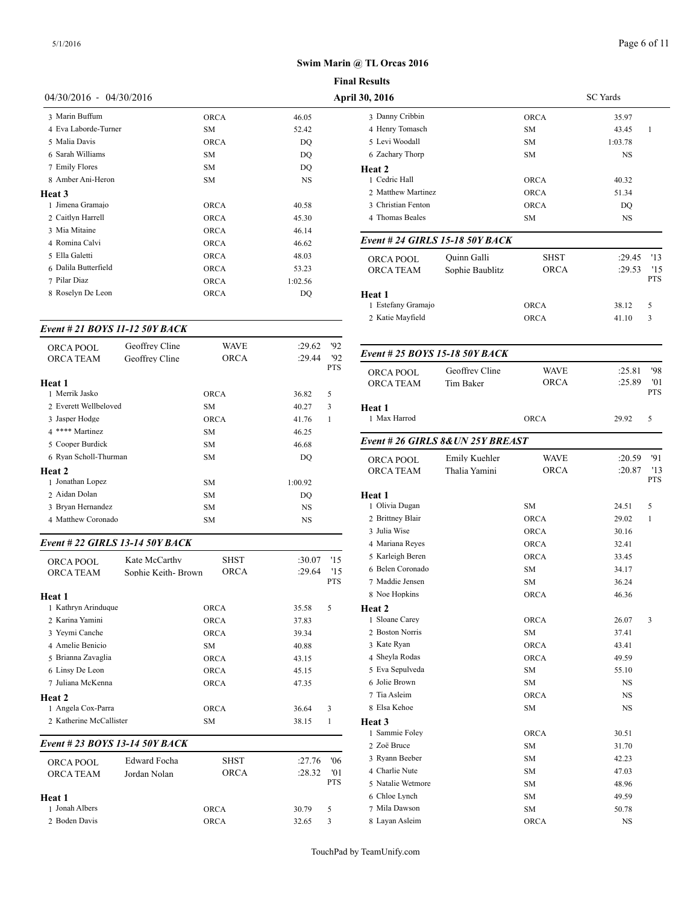#### **Final Results**

|                         |                                |                            |                                | FINAL INESULIS                                   |  |  |  |
|-------------------------|--------------------------------|----------------------------|--------------------------------|--------------------------------------------------|--|--|--|
| 04/30/2016 - 04/30/2016 |                                |                            |                                | <b>April 30, 2016</b>                            |  |  |  |
| 3 Marin Buffum          |                                | <b>ORCA</b>                | 46.05                          | 3 Danny Cribbin                                  |  |  |  |
| 4 Eva Laborde-Turner    |                                | SM                         | 52.42                          | 4 Henry Tomasch                                  |  |  |  |
| 5 Malia Davis           |                                | <b>ORCA</b>                | DO                             | 5 Levi Woodall                                   |  |  |  |
| 6 Sarah Williams        |                                | <b>SM</b>                  | DQ                             | 6 Zachary Thorp                                  |  |  |  |
| 7 Emily Flores          |                                | <b>SM</b>                  | DQ                             | <b>Heat 2</b>                                    |  |  |  |
| 8 Amber Ani-Heron       |                                | <b>SM</b>                  | <b>NS</b>                      | 1 Cedric Hall                                    |  |  |  |
| Heat 3                  |                                |                            |                                | 2 Matthew Martinez                               |  |  |  |
| 1 Jimena Gramajo        |                                | <b>ORCA</b>                | 40.58                          | 3 Christian Fenton                               |  |  |  |
| 2 Caitlyn Harrell       |                                | <b>ORCA</b>                | 45.30                          | 4 Thomas Beales                                  |  |  |  |
| 3 Mia Mitaine           |                                | <b>ORCA</b>                | 46.14                          |                                                  |  |  |  |
| 4 Romina Calvi          |                                | <b>ORCA</b>                | 46.62                          | Event # 24 GIRLS 15-18 50Y E                     |  |  |  |
| 5 Ella Galetti          |                                | <b>ORCA</b>                | 48.03                          | Ouinn Galli<br>ORCA POOL                         |  |  |  |
| 6 Dalila Butterfield    |                                | <b>ORCA</b>                | 53.23                          | <b>ORCA TEAM</b><br>Sophie Baul                  |  |  |  |
| 7 Pilar Diaz            |                                | <b>ORCA</b>                | 1:02.56                        |                                                  |  |  |  |
| 8 Roselyn De Leon       |                                | <b>ORCA</b>                | DO                             | Heat 1<br>1 Estefany Gramajo<br>2 Katie Mayfield |  |  |  |
|                         | Event # 21 BOYS 11-12 50Y BACK |                            |                                |                                                  |  |  |  |
| ORCA POOL               | Geoffrey Cline                 | <b>WAVE</b><br><b>ORCA</b> | :29.62<br>'92<br>'92<br>:29.44 | Event # 25 BOYS 15-18 50Y B.                     |  |  |  |
| <b>ORCA TEAM</b>        | Geoffrey Cline                 |                            | <b>PTS</b>                     | Geoffrey Cl<br>ORCA POOL                         |  |  |  |
| Heat 1                  |                                |                            |                                | <b>ORCA TEAM</b><br>Tim Baker                    |  |  |  |
| 1 Merrik Jasko          |                                | <b>ORCA</b>                | 36.82<br>5                     |                                                  |  |  |  |
| 2 Everett Wellbeloved   |                                | <b>SM</b>                  | 40.27<br>3                     | Heat 1                                           |  |  |  |
| 3 Jasper Hodge          |                                | <b>ORCA</b>                | 41.76<br>$\mathbf{1}$          | 1 Max Harrod                                     |  |  |  |
| 4 **** Martinez         |                                | <b>SM</b>                  | 46.25                          |                                                  |  |  |  |
| 5 Cooper Burdick        |                                | <b>SM</b>                  | 46.68                          | Event # 26 GIRLS 8& UN 25Y                       |  |  |  |
| 6 Ryan Scholl-Thurman   |                                | <b>SM</b>                  | DQ                             | Emily Kueh<br><b>ORCA POOL</b>                   |  |  |  |
| Heat 2                  |                                |                            |                                | Thalia Yami<br><b>ORCA TEAM</b>                  |  |  |  |
| 1 Jonathan Lopez        |                                | <b>SM</b>                  | 1:00.92                        |                                                  |  |  |  |
| 2 Aidan Dolan           |                                | SM                         | DQ                             | Heat 1                                           |  |  |  |
| 3 Bryan Hernandez       |                                | <b>SM</b>                  | NS                             | 1 Olivia Dugan                                   |  |  |  |
| 4 Matthew Coronado      |                                | <b>SM</b>                  | <b>NS</b>                      | 2 Brittney Blair<br>3 Julia Wise                 |  |  |  |

### *Event # 22 GIRLS 13-14 50Y BACK*

| <b>ORCA POOL</b>               | Kate McCarthy       | <b>SHST</b> | :30.07 | '15        | 5 Karleigh Beren         |
|--------------------------------|---------------------|-------------|--------|------------|--------------------------|
| <b>ORCA TEAM</b>               | Sophie Keith-Brown  | <b>ORCA</b> | :29.64 | 15         | 6 Belen Coronado         |
|                                |                     |             |        | <b>PTS</b> | 7 Maddie Jensen          |
| Heat 1                         |                     |             |        |            | 8 Noe Hopkins            |
| 1 Kathryn Arinduque            |                     | <b>ORCA</b> | 35.58  | 5          | Heat 2                   |
| 2. Karina Yamini               |                     | <b>ORCA</b> | 37.83  |            | 1 Sloane Carey           |
| 3 Yevmi Canche                 |                     | <b>ORCA</b> | 39.34  |            | 2. Boston Norris         |
| 4 Amelie Benicio               |                     | <b>SM</b>   | 40.88  |            | 3 Kate Ryan              |
| 5 Brianna Zavaglia             |                     | <b>ORCA</b> | 43.15  |            | 4 Shevla Rodas           |
| 6 Linsy De Leon                |                     | <b>ORCA</b> | 45.15  |            | 5 Eva Sepulveda          |
| 7 Juliana McKenna              |                     | <b>ORCA</b> | 47.35  |            | 6 Jolie Brown            |
| Heat 2                         |                     |             |        |            | 7 Tia Asleim             |
| 1 Angela Cox-Parra             |                     | <b>ORCA</b> | 36.64  | 3          | 8 Elsa Kehoe             |
| 2 Katherine McCallister        |                     | <b>SM</b>   | 38.15  | 1          | Heat 3<br>1 Sammie Foley |
| Event # 23 BOYS 13-14 50Y BACK |                     |             |        |            | 2 Zoë Bruce              |
| ORCA POOL                      | <b>Edward Focha</b> | <b>SHST</b> | :27.76 | '06        | 3 Ryann Beeber           |
| <b>ORCA TEAM</b>               | Jordan Nolan        | <b>ORCA</b> | :28.32 | '01        | 4 Charlie Nute           |
|                                |                     |             |        | <b>PTS</b> | 5 Natalie Wetmore        |
| Heat 1                         |                     |             |        |            | 6 Chloe Lynch            |
| 1 Jonah Albers                 |                     | <b>ORCA</b> | 30.79  | 5          | 7 Mila Dawson            |
| 2 Boden Davis                  |                     | <b>ORCA</b> | 32.65  | 3          | 8 Layan Asleim           |

| <b>FINAL RESULTS</b>              |                                   |             |                 |                   |
|-----------------------------------|-----------------------------------|-------------|-----------------|-------------------|
| <b>April 30, 2016</b>             |                                   |             | <b>SC</b> Yards |                   |
| 3 Danny Cribbin                   |                                   | <b>ORCA</b> | 35.97           |                   |
| 4 Henry Tomasch                   |                                   | <b>SM</b>   | 43.45           | $\mathbf{1}$      |
| 5 Levi Woodall                    |                                   | SМ          | 1:03.78         |                   |
| 6 Zachary Thorp                   |                                   | <b>SM</b>   | <b>NS</b>       |                   |
| Heat 2                            |                                   |             |                 |                   |
| 1 Cedric Hall                     |                                   | ORCA        | 40.32           |                   |
| 2 Matthew Martinez                |                                   | <b>ORCA</b> | 51.34           |                   |
| 3 Christian Fenton                |                                   | <b>ORCA</b> | DQ              |                   |
| 4 Thomas Beales                   |                                   | SΜ          | <b>NS</b>       |                   |
|                                   | Event # 24 GIRLS 15-18 50Y BACK   |             |                 |                   |
| ORCA POOL                         | Quinn Galli                       | SHST        | :29.45          | '13               |
| <b>ORCA TEAM</b>                  | Sophie Baublitz                   | ORCA        | :29.53          | '15<br><b>PTS</b> |
| Heat 1                            |                                   |             |                 |                   |
| 1 Estefany Gramajo                |                                   | <b>ORCA</b> | 38.12           | 5                 |
| 2 Katie Mayfield                  |                                   | <b>ORCA</b> | 41.10           | 3                 |
|                                   | Event # 25 BOYS 15-18 50Y BACK    |             |                 |                   |
|                                   | Geoffrey Cline                    | WAVE        | :25.81          | '98               |
| ORCA POOL<br><b>ORCA TEAM</b>     | Tim Baker                         | ORCA        | :25.89          | '01               |
|                                   |                                   |             |                 | <b>PTS</b>        |
| Heat 1                            |                                   |             |                 |                   |
| 1 Max Harrod                      |                                   | ORCA        | 29.92           | 5                 |
|                                   | Event # 26 GIRLS 8& UN 25Y BREAST |             |                 |                   |
| ORCA POOL                         | Emily Kuehler                     | <b>WAVE</b> | :20.59          | '91               |
| <b>ORCA TEAM</b>                  | Thalia Yamini                     | <b>ORCA</b> | :20.87          | '13               |
|                                   |                                   |             |                 | <b>PTS</b>        |
| Heat 1                            |                                   |             |                 |                   |
| 1 Olivia Dugan                    |                                   | <b>SM</b>   | 24.51           | 5                 |
| 2 Brittney Blair                  |                                   | ORCA        | 29.02           | $\mathbf{1}$      |
| 3 Julia Wise                      |                                   | <b>ORCA</b> | 30.16           |                   |
| 4 Mariana Reves                   |                                   | ORCA        | 32.41           |                   |
| 5 Karleigh Beren                  |                                   | <b>ORCA</b> | 33.45           |                   |
| 6 Belen Coronado                  |                                   | <b>SM</b>   | 34.17           |                   |
| 7 Maddie Jensen                   |                                   | <b>SM</b>   | 36.24           |                   |
| 8 Noe Hopkins                     |                                   | ORCA        | 46.36           |                   |
| Heat 2                            |                                   |             |                 |                   |
| 1 Sloane Carey<br>2 Boston Norris |                                   | ORCA        | 26.07           | 3                 |
|                                   |                                   | <b>SM</b>   | 37.41           |                   |
| 3 Kate Ryan                       |                                   | <b>ORCA</b> | 43.41           |                   |
| 4 Sheyla Rodas<br>5 Eva Sepulveda |                                   | <b>ORCA</b> | 49.59           |                   |
|                                   |                                   | <b>SM</b>   | 55.10           |                   |
| 6 Jolie Brown                     |                                   | SM          | NS              |                   |
| 7 Tia Asleim                      |                                   | ORCA        | NS              |                   |
| 8 Elsa Kehoe                      |                                   | SM          | NS              |                   |
| Heat 3<br>1 Sammie Foley          |                                   | <b>ORCA</b> | 30.51           |                   |
| 2 Zoë Bruce                       |                                   | SM          | 31.70           |                   |
| 3 Ryann Beeber                    |                                   | SМ          | 42.23           |                   |
| 4 Charlie Nute                    |                                   | SM          | 47.03           |                   |
| 5 Natalie Wetmore                 |                                   | SM          | 48.96           |                   |
| 6 Chloe Lynch                     |                                   | SМ          | 49.59           |                   |
| 7 Mila Dawson                     |                                   | SM          | 50.78           |                   |
| 8 Layan Asleim                    |                                   | ORCA        | NS              |                   |
|                                   |                                   |             |                 |                   |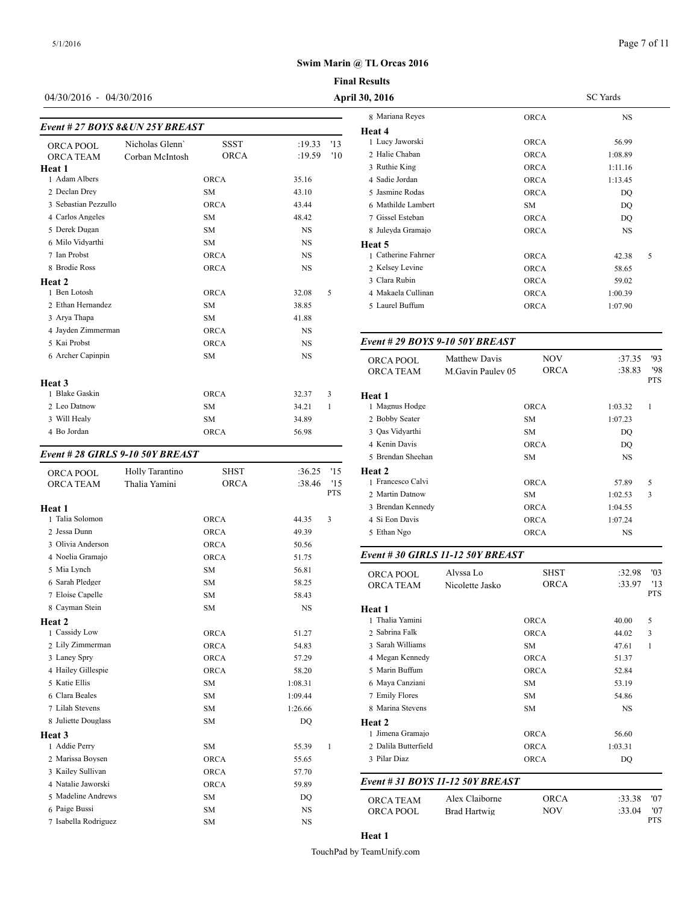#### **Final Results**

# 04/30/2016 - 04/30/2016 **April 30, 2016**

| Event # 27 BOYS 8& UN 25Y BREAST |                 |             |           |     | Heat 4                        |
|----------------------------------|-----------------|-------------|-----------|-----|-------------------------------|
| ORCA POOL                        | Nicholas Glenn' | <b>SSST</b> | :19.33    | '13 | 1 Lucy Jaworski               |
| <b>ORCA TEAM</b>                 | Corban McIntosh | <b>ORCA</b> | :19.59    | '10 | 2 Halie Chaban                |
| Heat 1                           |                 |             |           |     | 3 Ruthie King                 |
| 1 Adam Albers                    |                 | <b>ORCA</b> | 35.16     |     | 4 Sadie Jordan                |
| 2 Declan Drey                    |                 | <b>SM</b>   | 43.10     |     | 5 Jasmine Rodas               |
| 3 Sebastian Pezzullo             |                 | <b>ORCA</b> | 43.44     |     | 6 Mathilde Lambe              |
| 4 Carlos Angeles                 |                 | <b>SM</b>   | 48.42     |     | 7 Gissel Esteban              |
| 5 Derek Dugan                    |                 | <b>SM</b>   | <b>NS</b> |     | 8 Juleyda Gramajo             |
| 6 Milo Vidyarthi                 |                 | <b>SM</b>   | <b>NS</b> |     | Heat 5                        |
| 7 Ian Probst                     |                 | <b>ORCA</b> | <b>NS</b> |     | 1 Catherine Fahrn             |
| 8 Brodie Ross                    |                 | <b>ORCA</b> | <b>NS</b> |     | 2 Kelsey Levine               |
| Heat 2                           |                 |             |           |     | 3 Clara Rubin                 |
| 1 Ben Lotosh                     |                 | <b>ORCA</b> | 32.08     | 5   | 4 Makaela Cullina             |
| 2 Ethan Hernandez                |                 | <b>SM</b>   | 38.85     |     | 5 Laurel Buffum               |
| 3 Arya Thapa                     |                 | SM          | 41.88     |     |                               |
| 4 Jayden Zimmerman               |                 | <b>ORCA</b> | <b>NS</b> |     |                               |
| 5 Kai Probst                     |                 | <b>ORCA</b> | <b>NS</b> |     | Event # 29 $BOY$              |
| 6 Archer Capinpin                |                 | <b>SM</b>   | <b>NS</b> |     | ORCA POOL<br><b>ORCA TEAM</b> |
| Heat 3                           |                 |             |           |     |                               |
| 1 Blake Gaskin                   |                 | <b>ORCA</b> | 32.37     | 3   | Heat 1                        |
| 2 Leo Datnow                     |                 | <b>SM</b>   | 34.21     | 1   | 1 Magnus Hodge                |
| 3 Will Healy                     |                 | SM          | 34.89     |     | 2 Bobby Seater                |
| 4 Bo Jordan                      |                 | <b>ORCA</b> | 56.98     |     | 3 Oas Vidvarthi               |
|                                  |                 |             |           |     | $\lambda$ $V$ and $\lambda$   |

#### *Event # 28 GIRLS 9-10 50Y BREAST*

| ORCA POOL            | Holly Tarantino | <b>SHST</b> | :36.25<br>'15         | Heat 2              |
|----------------------|-----------------|-------------|-----------------------|---------------------|
| <b>ORCA TEAM</b>     | Thalia Yamini   | <b>ORCA</b> | :38.46<br>'15         | 1 Francesco Calvi   |
|                      |                 |             | <b>PTS</b>            | 2 Martin Datnow     |
| Heat 1               |                 |             |                       | 3 Brendan Kenned    |
| 1 Talia Solomon      |                 | <b>ORCA</b> | 3<br>44.35            | 4 Si Eon Davis      |
| 2 Jessa Dunn         |                 | <b>ORCA</b> | 49.39                 | 5 Ethan Ngo         |
| 3 Olivia Anderson    |                 | <b>ORCA</b> | 50.56                 |                     |
| 4 Noelia Gramajo     |                 | <b>ORCA</b> | 51.75                 | Event #30 GIRI      |
| 5 Mia Lynch          |                 | <b>SM</b>   | 56.81                 | <b>ORCA POOL</b>    |
| 6 Sarah Pledger      |                 | <b>SM</b>   | 58.25                 | <b>ORCA TEAM</b>    |
| 7 Eloise Capelle     |                 | SM          | 58.43                 |                     |
| 8 Cayman Stein       |                 | SM          | <b>NS</b>             | Heat 1              |
| Heat 2               |                 |             |                       | 1 Thalia Yamini     |
| 1 Cassidy Low        |                 | <b>ORCA</b> | 51.27                 | 2 Sabrina Falk      |
| 2 Lily Zimmerman     |                 | <b>ORCA</b> | 54.83                 | 3 Sarah Williams    |
| 3 Laney Spry         |                 | <b>ORCA</b> | 57.29                 | 4 Megan Kennedy     |
| 4 Hailey Gillespie   |                 | <b>ORCA</b> | 58.20                 | 5 Marin Buffum      |
| 5 Katie Ellis        |                 | <b>SM</b>   | 1:08.31               | 6 Maya Canziani     |
| 6 Clara Beales       |                 | <b>SM</b>   | 1:09.44               | 7 Emily Flores      |
| 7 Lilah Stevens      |                 | SM          | 1:26.66               | 8 Marina Stevens    |
| 8 Juliette Douglass  |                 | SM          | DO                    | Heat 2              |
| Heat 3               |                 |             |                       | 1 Jimena Gramajo    |
| 1 Addie Perry        |                 | <b>SM</b>   | $\mathbf{1}$<br>55.39 | 2 Dalila Butterfiel |
| 2 Marissa Boysen     |                 | <b>ORCA</b> | 55.65                 | 3 Pilar Diaz        |
| 3 Kailey Sullivan    |                 | <b>ORCA</b> | 57.70                 |                     |
| 4 Natalie Jaworski   |                 | <b>ORCA</b> | 59.89                 | Event # 31 BOY      |
| 5 Madeline Andrews   |                 | <b>SM</b>   | DO                    | <b>ORCA TEAM</b>    |
| 6 Paige Bussi        |                 | <b>SM</b>   | <b>NS</b>             | ORCA POOL           |
| 7 Isabella Rodriguez |                 | <b>SM</b>   | <b>NS</b>             |                     |
|                      |                 |             |                       |                     |

| April 30, 2016                  |                                   | <b>SC</b> Yards |                  |              |
|---------------------------------|-----------------------------------|-----------------|------------------|--------------|
| 8 Mariana Reyes                 |                                   | <b>ORCA</b>     | <b>NS</b>        |              |
| Heat 4                          |                                   |                 |                  |              |
| 1 Lucy Jaworski                 |                                   | <b>ORCA</b>     | 56.99            |              |
| 2 Halie Chaban                  |                                   | <b>ORCA</b>     | 1:08.89          |              |
| 3 Ruthie King                   |                                   | <b>ORCA</b>     | 1:11.16          |              |
| 4 Sadie Jordan                  |                                   | <b>ORCA</b>     | 1:13.45          |              |
| 5 Jasmine Rodas                 |                                   | <b>ORCA</b>     | DQ               |              |
| 6 Mathilde Lambert              |                                   | SM.             | DQ               |              |
| 7 Gissel Esteban                |                                   | ORCA            | DQ               |              |
| 8 Juleyda Gramajo               |                                   | <b>ORCA</b>     | <b>NS</b>        |              |
| Heat 5                          |                                   |                 |                  |              |
| 1 Catherine Fahrner             |                                   | <b>ORCA</b>     | 42.38            | 5            |
| 2 Kelsey Levine                 |                                   | <b>ORCA</b>     | 58.65            |              |
| 3 Clara Rubin                   |                                   | <b>ORCA</b>     | 59.02            |              |
| 4 Makaela Cullinan              |                                   | <b>ORCA</b>     | 1:00.39          |              |
| 5 Laurel Buffum                 |                                   | <b>ORCA</b>     | 1:07.90          |              |
|                                 |                                   |                 |                  |              |
| Event # 29 BOYS 9-10 50Y BREAST |                                   | <b>NOV</b>      |                  |              |
| ORCA POOL                       | Matthew Davis                     | <b>ORCA</b>     | :37.35<br>:38.83 | '93<br>'98   |
| <b>ORCA TEAM</b>                | M.Gavin Pauley 05                 |                 |                  | <b>PTS</b>   |
| Heat 1                          |                                   |                 |                  |              |
| 1 Magnus Hodge                  |                                   | <b>ORCA</b>     | 1:03.32          | $\mathbf{1}$ |
| 2 Bobby Seater                  |                                   | <b>SM</b>       | 1:07.23          |              |
| 3 Qas Vidyarthi                 |                                   | <b>SM</b>       | DQ               |              |
| 4 Kenin Davis                   |                                   | <b>ORCA</b>     | DQ               |              |
| 5 Brendan Sheehan               |                                   | <b>SM</b>       | NS               |              |
| Heat 2                          |                                   |                 |                  |              |
| 1 Francesco Calvi               |                                   | <b>ORCA</b>     | 57.89            | 5            |
| 2 Martin Datnow                 |                                   | <b>SM</b>       | 1:02.53          | 3            |
| 3 Brendan Kennedy               |                                   | <b>ORCA</b>     | 1:04.55          |              |
| 4 Si Eon Davis                  |                                   | <b>ORCA</b>     | 1:07.24          |              |
| 5 Ethan Ngo                     |                                   | ORCA            | NS               |              |
|                                 | Event # 30 GIRLS 11-12 50Y BREAST |                 |                  |              |
| ORCA POOL                       | Alyssa Lo                         | SHST            | :32.98           | '03          |
| ORCA TEAM                       | Nicolette Jasko                   | ORCA            | :33.97           | '13<br>PTS   |
| Heat 1                          |                                   |                 |                  |              |
| 1 Thalia Yamini                 |                                   | ORCA            | 40.00            | 5            |
| 2 Sabrina Falk                  |                                   | <b>ORCA</b>     | 44.02            | 3            |
| 3 Sarah Williams                |                                   | SΜ              | 47.61            | $\mathbf{1}$ |
| 4 Megan Kennedy                 |                                   | <b>ORCA</b>     | 51.37            |              |
| 5 Marin Buffum                  |                                   | <b>ORCA</b>     | 52.84            |              |
| 6 Maya Canziani                 |                                   | SΜ              | 53.19            |              |
| 7 Emily Flores                  |                                   | SΜ              | 54.86            |              |
| 8 Marina Stevens                |                                   | SΜ              | NS               |              |
| Heat 2                          |                                   |                 |                  |              |
| 1 Jimena Gramajo                |                                   | ORCA            | 56.60            |              |
| 2 Dalila Butterfield            |                                   | ORCA            | 1:03.31          |              |

|                  | Event # 31 BOYS 11-12 50Y BREAST |      |                 |
|------------------|----------------------------------|------|-----------------|
| <b>ORCA TEAM</b> | Alex Claiborne                   | ORCA | '07<br>$-33.38$ |
| ORCA POOL        | Brad Hartwig                     | NOV  | '07<br>$-33.04$ |
|                  |                                  |      | PTS             |

Pilar Diaz ORCA DQ

**Heat 1**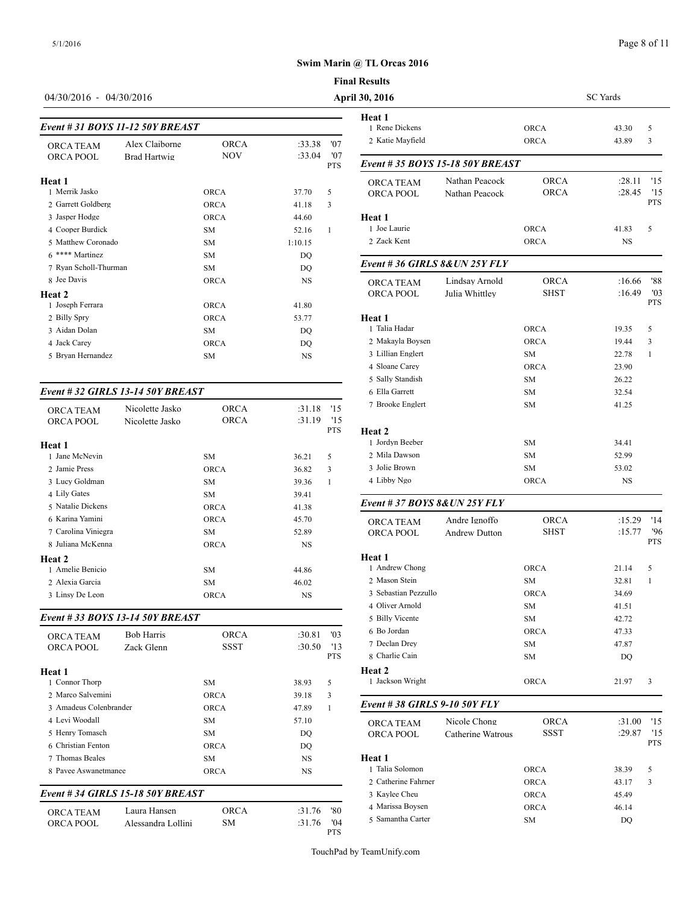#### Page 8 of 11

#### **Swim Marin @ TL Orcas 2016**

## **Final Results**

#### 04/30/2016 - 04/30/2016 **April 30, 2016**

| Event # 31 BOYS 11-12 50Y BREAST | 1 Rene Dickens |             |           |                   |                   |
|----------------------------------|----------------|-------------|-----------|-------------------|-------------------|
| <b>ORCA TEAM</b>                 | Alex Claiborne | <b>ORCA</b> | :33.38    | '07               | 2 Katie Mayfield  |
| <b>ORCA POOL</b>                 | Brad Hartwig   | <b>NOV</b>  | :33.04    | '07<br><b>PTS</b> | Event # 35 BOY    |
| Heat 1                           |                |             |           |                   | <b>ORCA TEAM</b>  |
| 1 Merrik Jasko                   |                | <b>ORCA</b> | 37.70     | 5                 | <b>ORCA POOL</b>  |
| 2 Garrett Goldberg               |                | <b>ORCA</b> | 41.18     | 3                 |                   |
| 3 Jasper Hodge                   |                | <b>ORCA</b> | 44.60     |                   | Heat 1            |
| 4 Cooper Burdick                 |                | <b>SM</b>   | 52.16     | 1                 | 1 Joe Laurie      |
| 5 Matthew Coronado               |                | <b>SM</b>   | 1:10.15   |                   | 2 Zack Kent       |
| 6 <sup>****</sup> Martinez       |                | <b>SM</b>   | DO        |                   |                   |
| 7 Ryan Scholl-Thurman            |                | <b>SM</b>   | DQ        |                   | Event #36 GIRI    |
| 8 Jee Davis                      |                | <b>ORCA</b> | <b>NS</b> |                   | <b>ORCA TEAM</b>  |
| Heat 2                           |                |             |           |                   | ORCA POOL         |
| 1 Joseph Ferrara                 |                | <b>ORCA</b> | 41.80     |                   |                   |
| 2 Billy Spry                     |                | <b>ORCA</b> | 53.77     |                   | Heat 1            |
| 3 Aidan Dolan                    |                | <b>SM</b>   | DO        |                   | 1 Talia Hadar     |
| 4 Jack Carey                     |                | <b>ORCA</b> | DQ        |                   | 2 Makayla Boyser  |
| 5 Bryan Hernandez                |                | <b>SM</b>   | <b>NS</b> |                   | 3 Lillian Englert |
|                                  |                |             |           |                   |                   |

#### *Event # 32 GIRLS 13-14 50Y BREAST*

| <b>ORCA TEAM</b><br><b>ORCA POOL</b> | Nicolette Jasko<br>Nicolette Jasko | <b>ORCA</b><br><b>ORCA</b> | :31.18<br>:31.19 | '15<br>'15 | 7 Brooke Englert          |
|--------------------------------------|------------------------------------|----------------------------|------------------|------------|---------------------------|
| Heat 1                               |                                    |                            |                  | <b>PTS</b> | Heat 2<br>1 Jordyn Beeber |
| 1 Jane McNevin                       |                                    | SM.                        | 36.21            | 5          | 2 Mila Dawson             |
| 2 Jamie Press                        |                                    | <b>ORCA</b>                | 36.82            | 3          | 3 Jolie Brown             |
| 3 Lucy Goldman                       |                                    | SM.                        | 39.36            | 1          | 4 Libby Ngo               |
| 4 Lily Gates                         |                                    | SM.                        | 39.41            |            |                           |
| 5 Natalie Dickens                    |                                    | <b>ORCA</b>                | 41.38            |            | Event # $37 BOY$          |
| 6 Karina Yamini                      |                                    | <b>ORCA</b>                | 45.70            |            | <b>ORCA TEAM</b>          |
| 7 Carolina Viniegra                  |                                    | SM.                        | 52.89            |            | <b>ORCA POOL</b>          |
| 8 Juliana McKenna                    |                                    | <b>ORCA</b>                | <b>NS</b>        |            |                           |
| Heat 2                               |                                    |                            |                  |            | Heat 1                    |
| 1 Amelie Benicio                     |                                    | SM.                        | 44.86            |            | 1 Andrew Chong            |
| 2 Alexia Garcia                      |                                    | <b>SM</b>                  | 46.02            |            | 2 Mason Stein             |
| 3 Linsy De Leon                      |                                    | <b>ORCA</b>                | <b>NS</b>        |            | 3 Sebastian Pezzu         |
|                                      |                                    |                            |                  |            |                           |

#### *Event # 33 BOYS 13-14 50Y BREAST*

| <b>ORCA TEAM</b><br><b>ORCA POOL</b>                    | <b>Bob Harris</b><br>Zack Glenn    | <b>ORCA</b><br><b>SSST</b>      | :30.81<br>:30.50       | $^{\prime}$ 03<br>13<br><b>PTS</b> | 6 Bo Jordan<br>7 Declan Drey<br>8 Charlie Cain  |
|---------------------------------------------------------|------------------------------------|---------------------------------|------------------------|------------------------------------|-------------------------------------------------|
| Heat 1<br>1 Connor Thorp<br>2 Marco Salvemini           |                                    | <b>SM</b><br><b>ORCA</b>        | 38.93<br>39.18         | 5<br>3                             | Heat 2<br>1 Jackson Wright                      |
| 3 Amadeus Colenbrander                                  |                                    | <b>ORCA</b>                     | 47.89                  | 1                                  | Event #38 GIRI                                  |
| 4 Levi Woodall<br>5 Henry Tomasch<br>6 Christian Fenton |                                    | SM.<br><b>SM</b><br><b>ORCA</b> | 57.10<br>DQ<br>DO      |                                    | <b>ORCA TEAM</b><br><b>ORCA POOL</b>            |
| 7 Thomas Beales<br>8 Pavee Aswanetmanee                 |                                    | SМ<br><b>ORCA</b>               | <b>NS</b><br><b>NS</b> |                                    | Heat 1<br>1 Talia Solomon<br>2. Catherine Fahrn |
|                                                         | Event # 34 GIRLS 15-18 50Y BREAST  |                                 |                        |                                    | 3 Kaylee Cheu                                   |
| <b>ORCA TEAM</b><br><b>ORCA POOL</b>                    | Laura Hansen<br>Alessandra Lollini | <b>ORCA</b><br>SМ               | :31.76<br>:31.76       | '80<br>04'<br><b>PTS</b>           | 4 Marissa Boysen<br>5 Samantha Carter           |

| 1 Rene Dickens<br>ORCA<br>43.30<br>5<br>2 Katie Mayfield<br><b>ORCA</b><br>3<br>43.89<br>Event # 35 BOYS 15-18 50Y BREAST<br>Nathan Peacock<br><b>ORCA</b><br>:28.11<br><b>ORCA TEAM</b><br>ORCA<br>:28.45<br>ORCA POOL<br>Nathan Peacock<br>1 Joe Laurie<br><b>ORCA</b><br>5<br>41.83<br>2 Zack Kent<br><b>ORCA</b><br>NS<br>Event #36 GIRLS 8& UN 25Y FLY<br>Lindsay Arnold<br>ORCA<br>'88<br>:16.66<br><b>ORCA TEAM</b><br>SHST<br>:16.49<br>ORCA POOL<br>Julia Whittley<br>1 Talia Hadar<br><b>ORCA</b><br>19.35<br>5<br>2 Makayla Boysen<br><b>ORCA</b><br>3<br>19.44<br>3 Lillian Englert<br>$\mathbf{1}$<br><b>SM</b><br>22.78<br>4 Sloane Carey<br><b>ORCA</b><br>23.90<br>5 Sally Standish<br><b>SM</b><br>26.22<br>6 Ella Garrett<br><b>SM</b><br>32.54<br>7 Brooke Englert<br><b>SM</b><br>41.25<br>1 Jordyn Beeber<br><b>SM</b><br>34.41<br>2 Mila Dawson<br><b>SM</b><br>52.99<br>3 Jolie Brown<br><b>SM</b><br>53.02<br>4 Libby Ngo<br><b>ORCA</b><br>NS<br>Event # 37 BOYS 8& UN 25Y FLY<br>Andre Ignoffo<br>ORCA<br>:15.29<br><b>ORCA TEAM</b><br><b>SHST</b><br>:15.77<br>ORCA POOL<br>Andrew Dutton<br>1 Andrew Chong<br><b>ORCA</b><br>21.14<br>5<br>2 Mason Stein<br>$\mathbf{1}$<br>SM.<br>32.81<br>3 Sebastian Pezzullo<br>ORCA<br>34.69<br>4 Oliver Arnold<br>SМ<br>41.51<br>5 Billy Vicente<br><b>SM</b><br>42.72<br>6 Bo Jordan<br><b>ORCA</b><br>47.33<br>7 Declan Drey<br>47.87<br>SM<br>8 Charlie Cain<br>SM<br>DQ<br>1 Jackson Wright<br><b>ORCA</b><br>3<br>21.97<br>Event #38 GIRLS 9-10 50Y FLY<br>Nicole Chong<br>ORCA<br>:31.00<br>'15<br>ORCA TEAM<br><b>SSST</b><br>:29.87<br>Catherine Watrous<br>ORCA POOL<br>1 Talia Solomon<br><b>ORCA</b><br>38.39<br>5<br>2 Catherine Fahrner<br><b>ORCA</b><br>3<br>43.17<br>3 Kaylee Cheu<br>ORCA<br>45.49<br>4 Marissa Boysen<br><b>ORCA</b><br>46.14<br>5 Samantha Carter | <b>April 30, 2016</b> |    | <b>SC</b> Yards        |                          |
|---------------------------------------------------------------------------------------------------------------------------------------------------------------------------------------------------------------------------------------------------------------------------------------------------------------------------------------------------------------------------------------------------------------------------------------------------------------------------------------------------------------------------------------------------------------------------------------------------------------------------------------------------------------------------------------------------------------------------------------------------------------------------------------------------------------------------------------------------------------------------------------------------------------------------------------------------------------------------------------------------------------------------------------------------------------------------------------------------------------------------------------------------------------------------------------------------------------------------------------------------------------------------------------------------------------------------------------------------------------------------------------------------------------------------------------------------------------------------------------------------------------------------------------------------------------------------------------------------------------------------------------------------------------------------------------------------------------------------------------------------------------------------------------------------------------------------------------------------------|-----------------------|----|------------------------|--------------------------|
|                                                                                                                                                                                                                                                                                                                                                                                                                                                                                                                                                                                                                                                                                                                                                                                                                                                                                                                                                                                                                                                                                                                                                                                                                                                                                                                                                                                                                                                                                                                                                                                                                                                                                                                                                                                                                                                         | Heat 1                |    |                        |                          |
|                                                                                                                                                                                                                                                                                                                                                                                                                                                                                                                                                                                                                                                                                                                                                                                                                                                                                                                                                                                                                                                                                                                                                                                                                                                                                                                                                                                                                                                                                                                                                                                                                                                                                                                                                                                                                                                         |                       |    |                        |                          |
|                                                                                                                                                                                                                                                                                                                                                                                                                                                                                                                                                                                                                                                                                                                                                                                                                                                                                                                                                                                                                                                                                                                                                                                                                                                                                                                                                                                                                                                                                                                                                                                                                                                                                                                                                                                                                                                         |                       |    |                        |                          |
|                                                                                                                                                                                                                                                                                                                                                                                                                                                                                                                                                                                                                                                                                                                                                                                                                                                                                                                                                                                                                                                                                                                                                                                                                                                                                                                                                                                                                                                                                                                                                                                                                                                                                                                                                                                                                                                         |                       |    |                        | '15<br>'15<br><b>PTS</b> |
|                                                                                                                                                                                                                                                                                                                                                                                                                                                                                                                                                                                                                                                                                                                                                                                                                                                                                                                                                                                                                                                                                                                                                                                                                                                                                                                                                                                                                                                                                                                                                                                                                                                                                                                                                                                                                                                         | Heat 1                |    |                        |                          |
|                                                                                                                                                                                                                                                                                                                                                                                                                                                                                                                                                                                                                                                                                                                                                                                                                                                                                                                                                                                                                                                                                                                                                                                                                                                                                                                                                                                                                                                                                                                                                                                                                                                                                                                                                                                                                                                         |                       |    |                        |                          |
|                                                                                                                                                                                                                                                                                                                                                                                                                                                                                                                                                                                                                                                                                                                                                                                                                                                                                                                                                                                                                                                                                                                                                                                                                                                                                                                                                                                                                                                                                                                                                                                                                                                                                                                                                                                                                                                         |                       |    |                        |                          |
|                                                                                                                                                                                                                                                                                                                                                                                                                                                                                                                                                                                                                                                                                                                                                                                                                                                                                                                                                                                                                                                                                                                                                                                                                                                                                                                                                                                                                                                                                                                                                                                                                                                                                                                                                                                                                                                         |                       |    |                        |                          |
|                                                                                                                                                                                                                                                                                                                                                                                                                                                                                                                                                                                                                                                                                                                                                                                                                                                                                                                                                                                                                                                                                                                                                                                                                                                                                                                                                                                                                                                                                                                                                                                                                                                                                                                                                                                                                                                         |                       |    |                        | '03<br><b>PTS</b>        |
|                                                                                                                                                                                                                                                                                                                                                                                                                                                                                                                                                                                                                                                                                                                                                                                                                                                                                                                                                                                                                                                                                                                                                                                                                                                                                                                                                                                                                                                                                                                                                                                                                                                                                                                                                                                                                                                         | Heat 1                |    |                        |                          |
|                                                                                                                                                                                                                                                                                                                                                                                                                                                                                                                                                                                                                                                                                                                                                                                                                                                                                                                                                                                                                                                                                                                                                                                                                                                                                                                                                                                                                                                                                                                                                                                                                                                                                                                                                                                                                                                         |                       |    |                        |                          |
|                                                                                                                                                                                                                                                                                                                                                                                                                                                                                                                                                                                                                                                                                                                                                                                                                                                                                                                                                                                                                                                                                                                                                                                                                                                                                                                                                                                                                                                                                                                                                                                                                                                                                                                                                                                                                                                         |                       |    |                        |                          |
|                                                                                                                                                                                                                                                                                                                                                                                                                                                                                                                                                                                                                                                                                                                                                                                                                                                                                                                                                                                                                                                                                                                                                                                                                                                                                                                                                                                                                                                                                                                                                                                                                                                                                                                                                                                                                                                         |                       |    |                        |                          |
|                                                                                                                                                                                                                                                                                                                                                                                                                                                                                                                                                                                                                                                                                                                                                                                                                                                                                                                                                                                                                                                                                                                                                                                                                                                                                                                                                                                                                                                                                                                                                                                                                                                                                                                                                                                                                                                         |                       |    |                        |                          |
|                                                                                                                                                                                                                                                                                                                                                                                                                                                                                                                                                                                                                                                                                                                                                                                                                                                                                                                                                                                                                                                                                                                                                                                                                                                                                                                                                                                                                                                                                                                                                                                                                                                                                                                                                                                                                                                         |                       |    |                        |                          |
|                                                                                                                                                                                                                                                                                                                                                                                                                                                                                                                                                                                                                                                                                                                                                                                                                                                                                                                                                                                                                                                                                                                                                                                                                                                                                                                                                                                                                                                                                                                                                                                                                                                                                                                                                                                                                                                         |                       |    |                        |                          |
|                                                                                                                                                                                                                                                                                                                                                                                                                                                                                                                                                                                                                                                                                                                                                                                                                                                                                                                                                                                                                                                                                                                                                                                                                                                                                                                                                                                                                                                                                                                                                                                                                                                                                                                                                                                                                                                         | Heat 2                |    |                        |                          |
|                                                                                                                                                                                                                                                                                                                                                                                                                                                                                                                                                                                                                                                                                                                                                                                                                                                                                                                                                                                                                                                                                                                                                                                                                                                                                                                                                                                                                                                                                                                                                                                                                                                                                                                                                                                                                                                         |                       |    |                        |                          |
|                                                                                                                                                                                                                                                                                                                                                                                                                                                                                                                                                                                                                                                                                                                                                                                                                                                                                                                                                                                                                                                                                                                                                                                                                                                                                                                                                                                                                                                                                                                                                                                                                                                                                                                                                                                                                                                         |                       |    |                        |                          |
|                                                                                                                                                                                                                                                                                                                                                                                                                                                                                                                                                                                                                                                                                                                                                                                                                                                                                                                                                                                                                                                                                                                                                                                                                                                                                                                                                                                                                                                                                                                                                                                                                                                                                                                                                                                                                                                         |                       |    |                        |                          |
|                                                                                                                                                                                                                                                                                                                                                                                                                                                                                                                                                                                                                                                                                                                                                                                                                                                                                                                                                                                                                                                                                                                                                                                                                                                                                                                                                                                                                                                                                                                                                                                                                                                                                                                                                                                                                                                         |                       |    |                        |                          |
|                                                                                                                                                                                                                                                                                                                                                                                                                                                                                                                                                                                                                                                                                                                                                                                                                                                                                                                                                                                                                                                                                                                                                                                                                                                                                                                                                                                                                                                                                                                                                                                                                                                                                                                                                                                                                                                         |                       |    |                        | '14                      |
|                                                                                                                                                                                                                                                                                                                                                                                                                                                                                                                                                                                                                                                                                                                                                                                                                                                                                                                                                                                                                                                                                                                                                                                                                                                                                                                                                                                                                                                                                                                                                                                                                                                                                                                                                                                                                                                         |                       |    |                        | '96<br><b>PTS</b>        |
|                                                                                                                                                                                                                                                                                                                                                                                                                                                                                                                                                                                                                                                                                                                                                                                                                                                                                                                                                                                                                                                                                                                                                                                                                                                                                                                                                                                                                                                                                                                                                                                                                                                                                                                                                                                                                                                         | Heat 1                |    |                        |                          |
|                                                                                                                                                                                                                                                                                                                                                                                                                                                                                                                                                                                                                                                                                                                                                                                                                                                                                                                                                                                                                                                                                                                                                                                                                                                                                                                                                                                                                                                                                                                                                                                                                                                                                                                                                                                                                                                         |                       |    |                        |                          |
|                                                                                                                                                                                                                                                                                                                                                                                                                                                                                                                                                                                                                                                                                                                                                                                                                                                                                                                                                                                                                                                                                                                                                                                                                                                                                                                                                                                                                                                                                                                                                                                                                                                                                                                                                                                                                                                         |                       |    |                        |                          |
|                                                                                                                                                                                                                                                                                                                                                                                                                                                                                                                                                                                                                                                                                                                                                                                                                                                                                                                                                                                                                                                                                                                                                                                                                                                                                                                                                                                                                                                                                                                                                                                                                                                                                                                                                                                                                                                         |                       |    |                        |                          |
|                                                                                                                                                                                                                                                                                                                                                                                                                                                                                                                                                                                                                                                                                                                                                                                                                                                                                                                                                                                                                                                                                                                                                                                                                                                                                                                                                                                                                                                                                                                                                                                                                                                                                                                                                                                                                                                         |                       |    |                        |                          |
|                                                                                                                                                                                                                                                                                                                                                                                                                                                                                                                                                                                                                                                                                                                                                                                                                                                                                                                                                                                                                                                                                                                                                                                                                                                                                                                                                                                                                                                                                                                                                                                                                                                                                                                                                                                                                                                         |                       |    |                        |                          |
|                                                                                                                                                                                                                                                                                                                                                                                                                                                                                                                                                                                                                                                                                                                                                                                                                                                                                                                                                                                                                                                                                                                                                                                                                                                                                                                                                                                                                                                                                                                                                                                                                                                                                                                                                                                                                                                         |                       |    |                        |                          |
|                                                                                                                                                                                                                                                                                                                                                                                                                                                                                                                                                                                                                                                                                                                                                                                                                                                                                                                                                                                                                                                                                                                                                                                                                                                                                                                                                                                                                                                                                                                                                                                                                                                                                                                                                                                                                                                         |                       |    |                        |                          |
|                                                                                                                                                                                                                                                                                                                                                                                                                                                                                                                                                                                                                                                                                                                                                                                                                                                                                                                                                                                                                                                                                                                                                                                                                                                                                                                                                                                                                                                                                                                                                                                                                                                                                                                                                                                                                                                         | Heat 2                |    |                        |                          |
|                                                                                                                                                                                                                                                                                                                                                                                                                                                                                                                                                                                                                                                                                                                                                                                                                                                                                                                                                                                                                                                                                                                                                                                                                                                                                                                                                                                                                                                                                                                                                                                                                                                                                                                                                                                                                                                         |                       |    |                        |                          |
|                                                                                                                                                                                                                                                                                                                                                                                                                                                                                                                                                                                                                                                                                                                                                                                                                                                                                                                                                                                                                                                                                                                                                                                                                                                                                                                                                                                                                                                                                                                                                                                                                                                                                                                                                                                                                                                         |                       |    |                        |                          |
|                                                                                                                                                                                                                                                                                                                                                                                                                                                                                                                                                                                                                                                                                                                                                                                                                                                                                                                                                                                                                                                                                                                                                                                                                                                                                                                                                                                                                                                                                                                                                                                                                                                                                                                                                                                                                                                         |                       |    |                        | '15<br>PTS               |
|                                                                                                                                                                                                                                                                                                                                                                                                                                                                                                                                                                                                                                                                                                                                                                                                                                                                                                                                                                                                                                                                                                                                                                                                                                                                                                                                                                                                                                                                                                                                                                                                                                                                                                                                                                                                                                                         | Heat 1                |    |                        |                          |
|                                                                                                                                                                                                                                                                                                                                                                                                                                                                                                                                                                                                                                                                                                                                                                                                                                                                                                                                                                                                                                                                                                                                                                                                                                                                                                                                                                                                                                                                                                                                                                                                                                                                                                                                                                                                                                                         |                       |    |                        |                          |
|                                                                                                                                                                                                                                                                                                                                                                                                                                                                                                                                                                                                                                                                                                                                                                                                                                                                                                                                                                                                                                                                                                                                                                                                                                                                                                                                                                                                                                                                                                                                                                                                                                                                                                                                                                                                                                                         |                       |    |                        |                          |
|                                                                                                                                                                                                                                                                                                                                                                                                                                                                                                                                                                                                                                                                                                                                                                                                                                                                                                                                                                                                                                                                                                                                                                                                                                                                                                                                                                                                                                                                                                                                                                                                                                                                                                                                                                                                                                                         |                       |    |                        |                          |
|                                                                                                                                                                                                                                                                                                                                                                                                                                                                                                                                                                                                                                                                                                                                                                                                                                                                                                                                                                                                                                                                                                                                                                                                                                                                                                                                                                                                                                                                                                                                                                                                                                                                                                                                                                                                                                                         |                       | SM | $\mathbf{D}\mathbf{Q}$ |                          |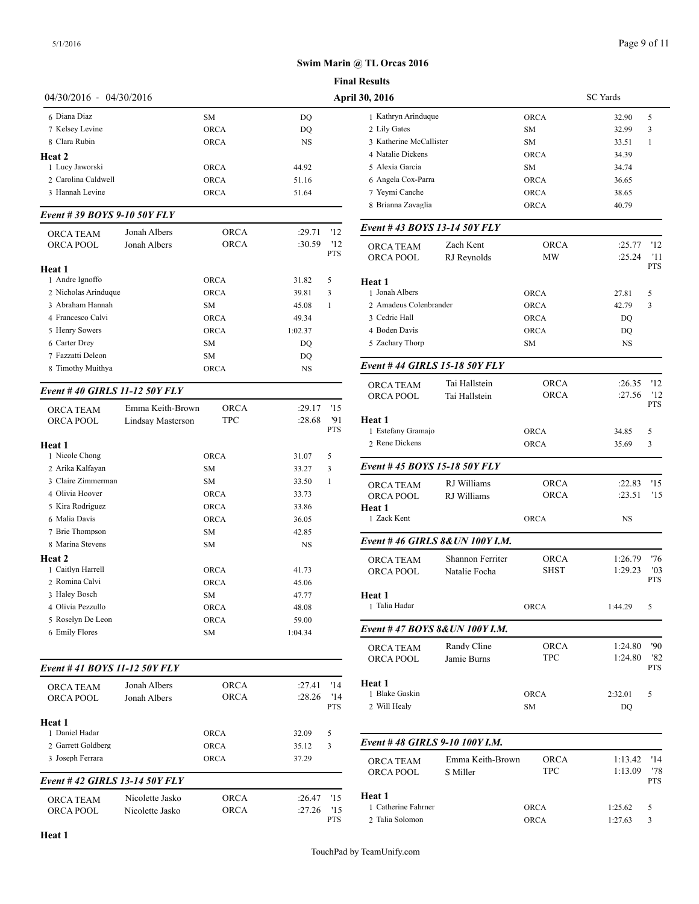|                                        | <b>Final Results</b> |                   |                       |                   |                                                       |                          |
|----------------------------------------|----------------------|-------------------|-----------------------|-------------------|-------------------------------------------------------|--------------------------|
| 04/30/2016 - 04/30/2016                |                      |                   | <b>April 30, 2016</b> |                   |                                                       |                          |
| 6 Diana Diaz                           |                      | SM                | DQ                    |                   | 1 Kathryn Arinduque                                   |                          |
| 7 Kelsey Levine                        |                      | <b>ORCA</b>       | DQ                    |                   | 2 Lily Gates                                          |                          |
| 8 Clara Rubin                          |                      | <b>ORCA</b>       | <b>NS</b>             |                   | 3 Katherine McCallister                               |                          |
| Heat 2                                 |                      |                   |                       |                   | 4 Natalie Dickens                                     |                          |
| 1 Lucy Jaworski                        |                      | <b>ORCA</b>       | 44.92                 |                   | 5 Alexia Garcia                                       |                          |
| 2 Carolina Caldwell                    |                      | <b>ORCA</b>       | 51.16                 |                   | 6 Angela Cox-Parra                                    |                          |
| 3 Hannah Levine                        |                      | <b>ORCA</b>       | 51.64                 |                   | 7 Yeymi Canche<br>8 Brianna Zavaglia                  |                          |
| Event #39 BOYS 9-10 50Y FLY            |                      |                   |                       |                   |                                                       |                          |
| ORCA TEAM                              | Jonah Albers         | <b>ORCA</b>       | :29.71                | '12               | Event #43 BOYS 13-14 50Y F.                           |                          |
| ORCA POOL                              | Jonah Albers         | <b>ORCA</b>       | :30.59                | '12<br><b>PTS</b> | ORCA TEAM<br>ORCA POOL                                | Zach Kent<br>RJ Reynolds |
| Heat 1                                 |                      |                   |                       |                   |                                                       |                          |
| 1 Andre Ignoffo                        |                      | <b>ORCA</b>       | 31.82                 | 5                 | <b>Heat 1</b>                                         |                          |
| 2 Nicholas Arinduque                   |                      | <b>ORCA</b>       | 39.81                 | 3                 | 1 Jonah Albers                                        |                          |
| 3 Abraham Hannah                       |                      | SM                | 45.08                 | 1                 | 2 Amadeus Colenbrander                                |                          |
| 4 Francesco Calvi                      |                      | <b>ORCA</b>       | 49.34                 |                   | 3 Cedric Hall                                         |                          |
| 5 Henry Sowers                         |                      | <b>ORCA</b>       | 1:02.37               |                   | 4 Boden Davis                                         |                          |
| 6 Carter Drey                          |                      | SM                | DQ                    |                   | 5 Zachary Thorp                                       |                          |
| 7 Fazzatti Deleon<br>8 Timothy Muithya |                      | SM<br><b>ORCA</b> | DQ<br><b>NS</b>       |                   | Event #44 GIRLS 15-18 50Y P                           |                          |
|                                        |                      |                   |                       |                   | <b>ORCA TEAM</b>                                      | Tai Hallsteii            |
| Event #40 GIRLS 11-12 50Y FLY          |                      |                   |                       |                   | ORCA POOL                                             | Tai Hallsteir            |
| ORCA TEAM                              | Emma Keith-Brown     | <b>ORCA</b>       | :29.17                | '15               |                                                       |                          |
| ORCA POOL                              | Lindsay Masterson    | <b>TPC</b>        | :28.68                | '91<br><b>PTS</b> | <b>Heat 1</b><br>1 Estefany Gramajo<br>2 Rene Dickens |                          |
| Heat 1<br>1 Nicole Chong               |                      |                   |                       |                   |                                                       |                          |
|                                        |                      | <b>ORCA</b>       | 31.07                 | 5                 | Event #45 BOYS 15-18 50Y F.                           |                          |
| 2 Arika Kalfayan                       |                      | SM                | 33.27                 | 3                 |                                                       |                          |
| 3 Claire Zimmerman                     |                      | <b>SM</b>         | 33.50                 | $\mathbf{1}$      | <b>ORCA TEAM</b>                                      | RJ Williams              |
| 4 Olivia Hoover                        |                      | ORCA              | 33.73                 |                   | ORCA POOL                                             | RJ Williams              |
| 5 Kira Rodriguez                       |                      | <b>ORCA</b>       | 33.86                 |                   | Heat 1                                                |                          |
| 6 Malia Davis                          |                      | <b>ORCA</b>       | 36.05                 |                   | 1 Zack Kent                                           |                          |
| 7 Brie Thompson                        |                      | SM                | 42.85                 |                   | Event #46 GIRLS 8& UN 1001                            |                          |
| 8 Marina Stevens                       |                      | SM                | NS                    |                   |                                                       |                          |
| Heat 2                                 |                      |                   |                       |                   | <b>ORCA TEAM</b>                                      | Shannon Fe               |
| 1 Caitlyn Harrell                      |                      | ORCA              | 41.73                 |                   | ORCA POOL                                             | Natalie Focl             |
| 2 Romina Calvi                         |                      | ORCA              | 45.06                 |                   |                                                       |                          |
| 3 Haley Bosch                          |                      | SΜ                | 47.77                 |                   | Heat 1<br>1 Talia Hadar                               |                          |
| 4 Olivia Pezzullo                      |                      | ORCA              | 48.08                 |                   |                                                       |                          |
| 5 Roselyn De Leon<br>6 Emily Flores    |                      | <b>ORCA</b><br>SΜ | 59.00<br>1:04.34      |                   | Event #47 BOYS 8& UN 100Y                             |                          |
|                                        |                      |                   |                       |                   | ORCA TEAM                                             | Randy Cline              |
| Event #41 BOYS 11-12 50Y FLY           |                      |                   |                       |                   | ORCA POOL                                             | Jamie Burns              |
| ORCA TEAM                              | Jonah Albers         | <b>ORCA</b>       | :27.41                | '14               | Heat 1                                                |                          |
| ORCA POOL                              | Jonah Albers         | <b>ORCA</b>       | :28.26                | '14<br><b>PTS</b> | 1 Blake Gaskin<br>2 Will Healy                        |                          |
| Heat 1                                 |                      |                   |                       |                   |                                                       |                          |
| 1 Daniel Hadar<br>2 Garrett Goldberg   |                      | ORCA<br>ORCA      | 32.09<br>35.12        | 5<br>3            | Event #48 GIRLS 9-10 100Y I                           |                          |
| 3 Joseph Ferrara                       |                      | ORCA              | 37.29                 |                   | ORCA TEAM                                             | Emma Keitl               |
| Event #42 GIRLS 13-14 50Y FLY          |                      |                   |                       |                   | ORCA POOL                                             | S Miller                 |
| ORCA TEAM                              | Nicolette Jasko      | <b>ORCA</b>       | :26.47                | '15               | Heat 1                                                |                          |
| ORCA POOL                              | Nicolette Jasko      | <b>ORCA</b>       | :27.26                | '15<br><b>PTS</b> | 1 Catherine Fahrner<br>2 Talia Solomon                |                          |
| Heat 1                                 |                      |                   |                       |                   |                                                       |                          |

| <b>Final Results</b>            |                  |             |                 |                   |
|---------------------------------|------------------|-------------|-----------------|-------------------|
| <b>April 30, 2016</b>           |                  |             | <b>SC</b> Yards |                   |
| 1 Kathryn Arinduque             |                  | <b>ORCA</b> | 32.90           | 5                 |
| 2 Lily Gates                    |                  | <b>SM</b>   | 32.99           | 3                 |
| 3 Katherine McCallister         |                  | <b>SM</b>   | 33.51           | $\mathbf{1}$      |
| 4 Natalie Dickens               |                  | <b>ORCA</b> | 34.39           |                   |
| 5 Alexia Garcia                 |                  | SM.         | 34.74           |                   |
| 6 Angela Cox-Parra              |                  | <b>ORCA</b> | 36.65           |                   |
| 7 Yeymi Canche                  |                  | <b>ORCA</b> | 38.65           |                   |
| 8 Brianna Zavaglia              |                  | <b>ORCA</b> | 40.79           |                   |
| Event #43 BOYS 13-14 50Y FLY    |                  |             |                 |                   |
| <b>ORCA TEAM</b>                | Zach Kent        | <b>ORCA</b> | :25.77          | '12               |
| ORCA POOL                       | RJ Reynolds      | MW          | :25.24          | '11               |
|                                 |                  |             |                 | <b>PTS</b>        |
| Heat 1                          |                  |             |                 |                   |
| 1 Jonah Albers                  |                  | <b>ORCA</b> | 27.81           | 5                 |
| 2. Amadeus Colenbrander         |                  | <b>ORCA</b> | 42.79           | 3                 |
| 3 Cedric Hall                   |                  | <b>ORCA</b> | DQ              |                   |
| 4 Boden Davis                   |                  | <b>ORCA</b> | DQ              |                   |
| 5 Zachary Thorp                 |                  | SМ          | <b>NS</b>       |                   |
| Event #44 GIRLS 15-18 50Y FLY   |                  |             |                 |                   |
| <b>ORCA TEAM</b>                | Tai Hallstein    | <b>ORCA</b> | :26.35          | '12               |
| ORCA POOL                       | Tai Hallstein    | ORCA        | :27.56          | '12               |
|                                 |                  |             |                 | <b>PTS</b>        |
| Heat 1                          |                  |             |                 |                   |
| 1 Estefany Gramajo              |                  | <b>ORCA</b> | 34.85           | 5                 |
| 2 Rene Dickens                  |                  | <b>ORCA</b> | 35.69           | 3                 |
| Event #45 BOYS 15-18 50Y FLY    |                  |             |                 |                   |
| <b>ORCA TEAM</b>                | RJ Williams      | ORCA        | :22.83          | '15               |
| ORCA POOL                       | RJ Williams      | ORCA        | :23.51          | '15               |
| Heat 1                          |                  |             |                 |                   |
| 1 Zack Kent                     |                  | <b>ORCA</b> | <b>NS</b>       |                   |
| Event #46 GIRLS 8& UN 100Y I.M. |                  |             |                 |                   |
| <b>ORCA TEAM</b>                | Shannon Ferriter | ORCA        | 1:26.79         | '76               |
| ORCA POOL                       | Natalie Focha    | SHST        | 1:29.23         | '03               |
|                                 |                  |             |                 | <b>PTS</b>        |
| Heat 1<br>1 Talia Hadar         |                  |             |                 |                   |
|                                 |                  | ORCA        | 1:44.29         | 5                 |
| Event #47 BOYS 8&UN 100Y I.M.   |                  |             |                 |                   |
| ORCA TEAM                       | Randy Cline      | ORCA        | 1:24.80         | '90               |
| ORCA POOL                       | Jamie Burns      | TPC         | 1:24.80         | '82<br><b>PTS</b> |
| Heat 1                          |                  |             |                 |                   |
| 1 Blake Gaskin                  |                  | ORCA        | 2:32.01         | 5                 |
| 2 Will Healy                    |                  | SΜ          | DQ              |                   |
|                                 |                  |             |                 |                   |
| Event #48 GIRLS 9-10 100Y I.M.  |                  |             |                 |                   |
| ORCA TEAM                       | Emma Keith-Brown | ORCA        | 1:13.42         | '14               |
| ORCA POOL                       | S Miller         | <b>TPC</b>  | 1:13.09         | '78               |
|                                 |                  |             |                 | <b>PTS</b>        |
| Heat 1                          |                  |             |                 |                   |
| 1 Catherine Fahrner             |                  | ORCA        | 1:25.62         | 5                 |
| 2 Talia Solomon                 |                  | <b>ORCA</b> | 1:27.63         | 3                 |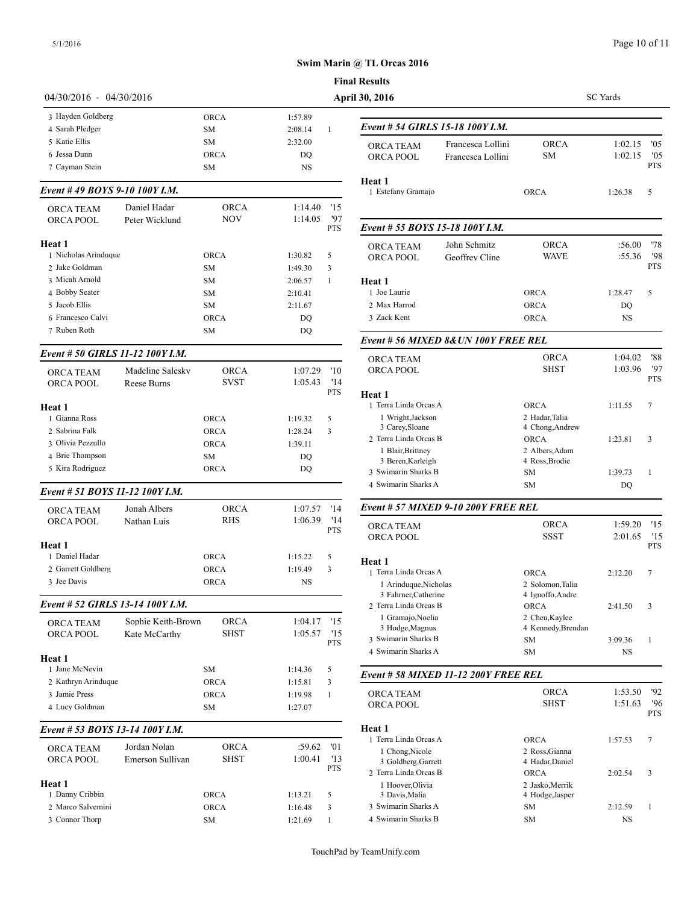### **@ TL Orcas 2016**

|                                  |                    |             |           |                   | Swim Marin (a) TL Orcas $2016$               |
|----------------------------------|--------------------|-------------|-----------|-------------------|----------------------------------------------|
|                                  |                    |             |           |                   | <b>Final Results</b>                         |
| 04/30/2016 - 04/30/2016          |                    |             |           |                   | <b>April 30, 2016</b>                        |
| 3 Hayden Goldberg                |                    | <b>ORCA</b> | 1:57.89   |                   |                                              |
| 4 Sarah Pledger                  |                    | <b>SM</b>   | 2:08.14   | $\mathbf{1}$      | Event # 54 GIRLS 15-18 100Y                  |
| 5 Katie Ellis                    |                    | <b>SM</b>   | 2:32.00   |                   |                                              |
| 6 Jessa Dunn                     |                    | <b>ORCA</b> | DQ        |                   | Francesca L<br><b>ORCA TEAM</b>              |
| 7 Cayman Stein                   |                    | <b>SM</b>   | <b>NS</b> |                   | <b>ORCA POOL</b><br>Francesca L              |
| Event #49 BOYS 9-10 100Y I.M.    |                    |             |           |                   | <b>Heat 1</b><br>1 Estefany Gramajo          |
| ORCA TEAM                        | Daniel Hadar       | <b>ORCA</b> | 1:14.40   | '15               |                                              |
| ORCA POOL                        | Peter Wicklund     | <b>NOV</b>  | 1:14.05   | '97               | Event # 55 BOYS 15-18 100Y 1                 |
|                                  |                    |             |           | <b>PTS</b>        |                                              |
| Heat 1<br>1 Nicholas Arinduque   |                    | <b>ORCA</b> | 1:30.82   | 5                 | John Schmi<br><b>ORCA TEAM</b>               |
| 2 Jake Goldman                   |                    | <b>SM</b>   | 1:49.30   | 3                 | ORCA POOL<br>Geoffrey Cl                     |
| 3 Micah Arnold                   |                    | <b>SM</b>   | 2:06.57   | 1                 | <b>Heat 1</b>                                |
| 4 Bobby Seater                   |                    | <b>SM</b>   | 2:10.41   |                   | 1 Joe Laurie                                 |
| 5 Jacob Ellis                    |                    | <b>SM</b>   | 2:11.67   |                   | 2 Max Harrod                                 |
| 6 Francesco Calvi                |                    | <b>ORCA</b> | DQ        |                   | 3 Zack Kent                                  |
| 7 Ruben Roth                     |                    | <b>SM</b>   | DQ        |                   |                                              |
| Event # 50 GIRLS 11-12 100Y I.M. |                    |             |           |                   | Event # 56 MIXED 8& UN 100                   |
|                                  |                    |             |           |                   | ORCA TEAM                                    |
| <b>ORCA TEAM</b>                 | Madeline Salesky   | <b>ORCA</b> | 1:07.29   | '10               | ORCA POOL                                    |
| <b>ORCA POOL</b>                 | Reese Burns        | <b>SVST</b> | 1:05.43   | '14<br><b>PTS</b> |                                              |
|                                  |                    |             |           |                   | <b>Heat 1</b><br>1 Terra Linda Orcas A       |
| Heat 1<br>1 Gianna Ross          |                    |             |           |                   | 1 Wright, Jackson                            |
|                                  |                    | <b>ORCA</b> | 1:19.32   | 5                 | 3 Carey, Sloane                              |
| 2 Sabrina Falk                   |                    | <b>ORCA</b> | 1:28.24   | 3                 | 2 Terra Linda Orcas B                        |
| 3 Olivia Pezzullo                |                    | <b>ORCA</b> | 1:39.11   |                   | 1 Blair, Brittney                            |
| 4 Brie Thompson                  |                    | <b>SM</b>   | DQ        |                   | 3 Beren, Karleigh                            |
| 5 Kira Rodriguez                 |                    | <b>ORCA</b> | DQ        |                   | 3 Swimarin Sharks B                          |
| Event # 51 BOYS 11-12 100Y I.M.  |                    |             |           |                   | 4 Swimarin Sharks A                          |
| <b>ORCA TEAM</b>                 | Jonah Albers       | <b>ORCA</b> | 1:07.57   | '14               | Event # 57 MIXED 9-10 200Y                   |
| ORCA POOL                        | Nathan Luis        | <b>RHS</b>  | 1:06.39   | '14<br><b>PTS</b> | <b>ORCA TEAM</b>                             |
| Heat 1                           |                    |             |           |                   | ORCA POOL                                    |
| 1 Daniel Hadar                   |                    | <b>ORCA</b> | 1:15.22   | 5                 |                                              |
| 2 Garrett Goldberg               |                    | <b>ORCA</b> | 1:19.49   | 3                 | Heat 1                                       |
| 3 Jee Davis                      |                    | ORCA        | NS        |                   | 1 Terra Linda Orcas A                        |
|                                  |                    |             |           |                   | 1 Arinduque, Nicholas<br>3 Fahrner.Catherine |
| Event # 52 GIRLS 13-14 100Y I.M. |                    |             |           |                   | 2 Terra Linda Orcas B                        |
| <b>ORCA TEAM</b>                 | Sophie Keith-Brown | <b>ORCA</b> | 1:04.17   | '15               | 1 Gramajo, Noelia                            |
| ORCA POOL                        | Kate McCarthy      | <b>SHST</b> | 1:05.57   | '15               | 3 Hodge, Magnus                              |
|                                  |                    |             |           | <b>PTS</b>        | 3 Swimarin Sharks B                          |
| Heat 1                           |                    |             |           |                   | 4 Swimarin Sharks A                          |
| 1 Jane McNevin                   |                    | SM          | 1:14.36   | 5                 | Event # 58 MIXED 11-12 2001                  |
| 2 Kathryn Arinduque              |                    | <b>ORCA</b> | 1:15.81   | 3                 |                                              |
| 3 Jamie Press                    |                    | <b>ORCA</b> | 1:19.98   | $\mathbf{1}$      | <b>ORCA TEAM</b><br>ORCA POOL                |
| 4 Lucy Goldman                   |                    | <b>SM</b>   | 1:27.07   |                   |                                              |
| Event # 53 BOYS 13-14 100Y I.M.  |                    |             |           |                   | <b>Heat 1</b>                                |
| ORCA TEAM                        | Jordan Nolan       | ORCA        | :59.62    | '01               | 1 Terra Linda Orcas A                        |
| ORCA POOL                        | Emerson Sullivan   | <b>SHST</b> | 1:00.41   | '13               | 1 Chong, Nicole                              |
|                                  |                    |             |           | <b>PTS</b>        | 3 Goldberg, Garrett<br>2 Terra Linda Orcas B |
| Heat 1                           |                    |             |           |                   | 1 Hoover, Olivia                             |
| 1 Danny Cribbin                  |                    | <b>ORCA</b> | 1:13.21   | 5                 | 3 Davis, Malia                               |
| 2 Marco Salvemini                |                    | <b>ORCA</b> | 1:16.48   | 3                 | 3 Swimarin Sharks A                          |
| 3 Connor Thorp                   |                    | SM          | 1:21.69   | 1                 | 4 Swimarin Sharks B                          |

| <b>April 30, 2016</b>                         |                                | <b>SC</b> Yards                |                  |                          |  |
|-----------------------------------------------|--------------------------------|--------------------------------|------------------|--------------------------|--|
| Event # 54 GIRLS 15-18 100Y I.M.              |                                |                                |                  |                          |  |
| <b>ORCA TEAM</b>                              | Francesca Lollini              | ORCA                           | 1:02.15          | '05                      |  |
| ORCA POOL                                     | Francesca Lollini              | SМ                             | 1:02.15          | '05<br><b>PTS</b>        |  |
| <b>Heat 1</b><br>1 Estefany Gramajo           |                                | <b>ORCA</b>                    | 1:26.38          | 5                        |  |
|                                               |                                |                                |                  |                          |  |
| Event # 55 BOYS 15-18 100Y I.M.               |                                |                                |                  |                          |  |
| <b>ORCA TEAM</b><br>ORCA POOL                 | John Schmitz<br>Geoffrey Cline | <b>ORCA</b><br><b>WAVE</b>     | :56.00<br>:55.36 | '78<br>'98<br><b>PTS</b> |  |
| Heat 1                                        |                                |                                |                  |                          |  |
| 1 Joe Laurie<br>2 Max Harrod                  |                                | ORCA                           | 1:28.47          | 5                        |  |
| 3 Zack Kent                                   |                                | <b>ORCA</b><br><b>ORCA</b>     | DQ<br><b>NS</b>  |                          |  |
| Event # 56 MIXED 8& UN 100Y FREE REL          |                                |                                |                  |                          |  |
| <b>ORCA TEAM</b>                              |                                | <b>ORCA</b>                    | 1:04.02          | '88                      |  |
| ORCA POOL                                     |                                | <b>SHST</b>                    | 1:03.96          | '97                      |  |
|                                               |                                |                                |                  | <b>PTS</b>               |  |
| Heat 1<br>1 Terra Linda Orcas A               |                                |                                |                  |                          |  |
| 1 Wright, Jackson                             |                                | <b>ORCA</b><br>2 Hadar, Talia  | 1:11.55          | 7                        |  |
| 3 Carey, Sloane                               |                                | 4 Chong, Andrew                |                  |                          |  |
| 2 Terra Linda Orcas B                         |                                | <b>ORCA</b>                    | 1:23.81          | 3                        |  |
| 1 Blair, Brittney                             |                                | 2 Albers, Adam                 |                  |                          |  |
| 3 Beren, Karleigh                             |                                | 4 Ross, Brodie                 |                  |                          |  |
| 3 Swimarin Sharks B                           |                                | <b>SM</b>                      | 1:39.73          | $\mathbf{1}$             |  |
| 4 Swimarin Sharks A                           |                                | <b>SM</b>                      | DQ               |                          |  |
| Event # 57 MIXED 9-10 200Y FREE REL           |                                |                                |                  |                          |  |
| ORCA TEAM                                     |                                | ORCA                           | 1:59.20          | '15                      |  |
| <b>ORCA POOL</b>                              |                                | <b>SSST</b>                    | 2:01.65          | '15<br><b>PTS</b>        |  |
| Heat 1                                        |                                |                                |                  |                          |  |
| 1 Terra Linda Orcas A                         |                                | <b>ORCA</b>                    | 2:12.20          | 7                        |  |
| 1 Arinduque, Nicholas                         |                                | 2 Solomon, Talia               |                  |                          |  |
| 3 Fahrner, Catherine<br>2 Terra Linda Orcas B |                                | 4 Ignoffo, Andre               |                  |                          |  |
| 1 Gramajo, Noelia                             |                                | <b>ORCA</b><br>2 Cheu, Kaylee  | 2:41.50          | 3                        |  |
| 3 Hodge, Magnus                               |                                | 4 Kennedy, Brendan             |                  |                          |  |
| 3 Swimarin Sharks B                           |                                | SM.                            | 3:09.36          | $\mathbf{1}$             |  |
| 4 Swimarin Sharks A                           |                                | <b>SM</b>                      | <b>NS</b>        |                          |  |
| Event # 58 MIXED 11-12 200Y FREE REL          |                                |                                |                  |                          |  |
| ORCA TEAM                                     |                                | ORCA                           | 1:53.50          | '92                      |  |
| ORCA POOL                                     |                                | <b>SHST</b>                    | 1:51.63          | '96<br><b>PTS</b>        |  |
| Heat 1                                        |                                |                                |                  |                          |  |
| 1 Terra Linda Orcas A                         |                                | ORCA                           | 1:57.53          | 7                        |  |
| 1 Chong, Nicole                               |                                | 2 Ross, Gianna                 |                  |                          |  |
| 3 Goldberg, Garrett<br>2 Terra Linda Orcas B  |                                | 4 Hadar, Daniel                |                  |                          |  |
| 1 Hoover, Olivia                              |                                | <b>ORCA</b><br>2 Jasko, Merrik | 2:02.54          | 3                        |  |
| 3 Davis, Malia                                |                                | 4 Hodge, Jasper                |                  |                          |  |
| 3 Swimarin Sharks A                           |                                | SΜ                             | 2:12.59          | $\mathbf{1}$             |  |
| 4 Swimarin Sharks B                           |                                | SM                             | NS               |                          |  |
|                                               |                                |                                |                  |                          |  |